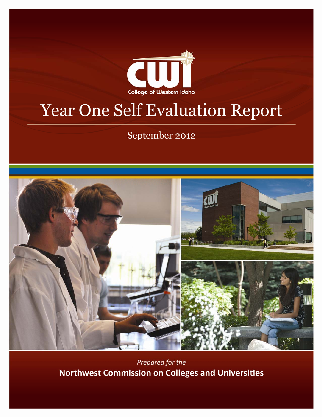

# Year One Self Evaluation Report

September 2012



Prepared for the **Northwest Commission on Colleges and Universities**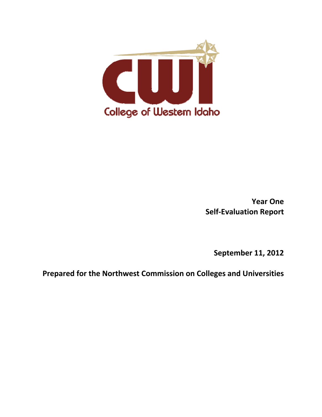

**Year One Self‐Evaluation Report**

**September 11, 2012**

**Prepared for the Northwest Commission on Colleges and Universities**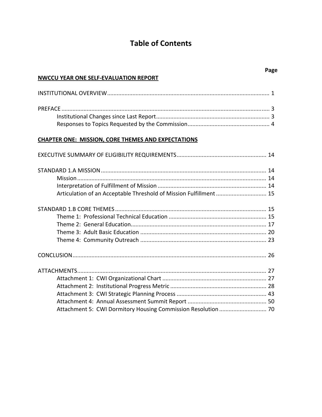# **Table of Contents**

#### **NWCCU YEAR ONE SELF‐EVALUATION REPORT**

# **CHAPTER ONE: MISSION, CORE THEMES AND EXPECTATIONS**

| Articulation of an Acceptable Threshold of Mission Fulfillment  15 |  |
|--------------------------------------------------------------------|--|
|                                                                    |  |
|                                                                    |  |
|                                                                    |  |
|                                                                    |  |
|                                                                    |  |
|                                                                    |  |
|                                                                    |  |
|                                                                    |  |
|                                                                    |  |
|                                                                    |  |
|                                                                    |  |
| Attachment 5: CWI Dormitory Housing Commission Resolution  70      |  |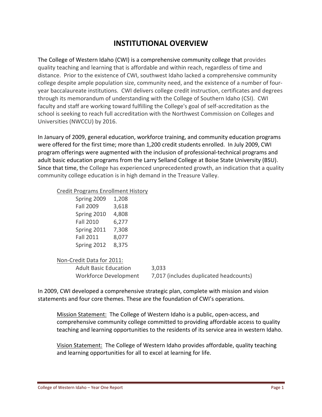# **INSTITUTIONAL OVERVIEW**

The College of Western Idaho (CWI) is a comprehensive community college that provides quality teaching and learning that is affordable and within reach, regardless of time and distance. Prior to the existence of CWI, southwest Idaho lacked a comprehensive community college despite ample population size, community need, and the existence of a number of four‐ year baccalaureate institutions. CWI delivers college credit instruction, certificates and degrees through its memorandum of understanding with the College of Southern Idaho (CSI). CWI faculty and staff are working toward fulfilling the College's goal of self‐accreditation as the school is seeking to reach full accreditation with the Northwest Commission on Colleges and Universities (NWCCU) by 2016.

In January of 2009, general education, workforce training, and community education programs were offered for the first time; more than 1,200 credit students enrolled. In July 2009, CWI program offerings were augmented with the inclusion of professional‐technical programs and adult basic education programs from the Larry Selland College at Boise State University (BSU). Since that time, the College has experienced unprecedented growth, an indication that a quality community college education is in high demand in the Treasure Valley.

#### Credit Programs Enrollment History

| Spring 2009      | 1,208 |
|------------------|-------|
| <b>Fall 2009</b> | 3,618 |
| Spring 2010      | 4,808 |
| <b>Fall 2010</b> | 6,277 |
| Spring 2011      | 7,308 |
| <b>Fall 2011</b> | 8,077 |
| Spring 2012      | 8,375 |

### Non‐Credit Data for 2011:

Adult Basic Education 3,033 Workforce Development 7,017 (includes duplicated headcounts)

In 2009, CWI developed a comprehensive strategic plan, complete with mission and vision statements and four core themes. These are the foundation of CWI's operations.

Mission Statement: The College of Western Idaho is a public, open‐access, and comprehensive community college committed to providing affordable access to quality teaching and learning opportunities to the residents of its service area in western Idaho.

Vision Statement: The College of Western Idaho provides affordable, quality teaching and learning opportunities for all to excel at learning for life.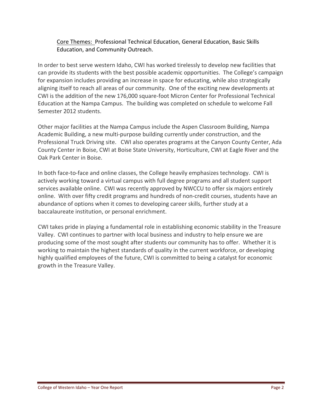## Core Themes: Professional Technical Education, General Education, Basic Skills Education, and Community Outreach.

In order to best serve western Idaho, CWI has worked tirelessly to develop new facilities that can provide its students with the best possible academic opportunities. The College's campaign for expansion includes providing an increase in space for educating, while also strategically aligning itself to reach all areas of our community. One of the exciting new developments at CWI is the addition of the new 176,000 square‐foot Micron Center for Professional Technical Education at the Nampa Campus. The building was completed on schedule to welcome Fall Semester 2012 students.

Other major facilities at the Nampa Campus include the Aspen Classroom Building, Nampa Academic Building, a new multi‐purpose building currently under construction, and the Professional Truck Driving site. CWI also operates programs at the Canyon County Center, Ada County Center in Boise, CWI at Boise State University, Horticulture, CWI at Eagle River and the Oak Park Center in Boise.

In both face-to-face and online classes, the College heavily emphasizes technology. CWI is actively working toward a virtual campus with full degree programs and all student support services available online. CWI was recently approved by NWCCU to offer six majors entirely online. With over fifty credit programs and hundreds of non‐credit courses, students have an abundance of options when it comes to developing career skills, further study at a baccalaureate institution, or personal enrichment.

CWI takes pride in playing a fundamental role in establishing economic stability in the Treasure Valley. CWI continues to partner with local business and industry to help ensure we are producing some of the most sought after students our community has to offer. Whether it is working to maintain the highest standards of quality in the current workforce, or developing highly qualified employees of the future, CWI is committed to being a catalyst for economic growth in the Treasure Valley.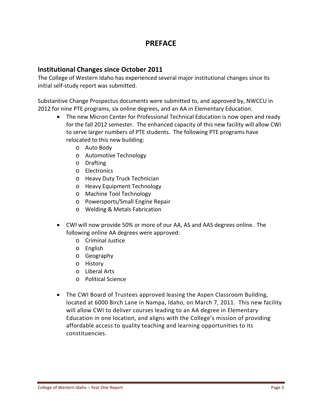# **PREFACE**

## **Institutional Changes since October 2011**

The College of Western Idaho has experienced several major institutional changes since its initial self‐study report was submitted.

Substantive Change Prospectus documents were submitted to, and approved by, NWCCU in 2012 for nine PTE programs, six online degrees, and an AA in Elementary Education.

- The new Micron Center for Professional Technical Education is now open and ready for the fall 2012 semester. The enhanced capacity of this new facility will allow CWI to serve larger numbers of PTE students. The following PTE programs have relocated to this new building:
	- o Auto Body
	- o Automotive Technology
	- o Drafting
	- o Electronics
	- o Heavy Duty Truck Technician
	- o Heavy Equipment Technology
	- o Machine Tool Technology
	- o Powersports/Small Engine Repair
	- o Welding & Metals Fabrication
- CWI will now provide 50% or more of our AA, AS and AAS degrees online. The following online AA degrees were approved:
	- o Criminal Justice
	- o English
	- o Geography
	- o History
	- o Liberal Arts
	- o Political Science
- The CWI Board of Trustees approved leasing the Aspen Classroom Building, located at 6000 Birch Lane in Nampa, Idaho, on March 7, 2011. This new facility will allow CWI to deliver courses leading to an AA degree in Elementary Education in one location, and aligns with the College's mission of providing affordable access to quality teaching and learning opportunities to its constituencies.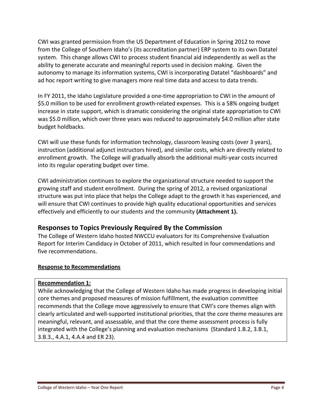CWI was granted permission from the US Department of Education in Spring 2012 to move from the College of Southern Idaho's (its accreditation partner) ERP system to its own Datatel system. This change allows CWI to process student financial aid independently as well as the ability to generate accurate and meaningful reports used in decision making. Given the autonomy to manage its information systems, CWI is incorporating Datatel "dashboards" and ad hoc report writing to give managers more real time data and access to data trends.

In FY 2011, the Idaho Legislature provided a one-time appropriation to CWI in the amount of \$5.0 million to be used for enrollment growth‐related expenses. This is a 58% ongoing budget increase in state support, which is dramatic considering the original state appropriation to CWI was \$5.0 million, which over three years was reduced to approximately \$4.0 million after state budget holdbacks.

CWI will use these funds for information technology, classroom leasing costs (over 3 years), instruction (additional adjunct instructors hired), and similar costs, which are directly related to enrollment growth. The College will gradually absorb the additional multi‐year costs incurred into its regular operating budget over time.

CWI administration continues to explore the organizational structure needed to support the growing staff and student enrollment. During the spring of 2012, a revised organizational structure was put into place that helps the College adapt to the growth it has experienced, and will ensure that CWI continues to provide high quality educational opportunities and services effectively and efficiently to our students and the community **(Attachment 1).**

# **Responses to Topics Previously Required By the Commission**

The College of Western Idaho hosted NWCCU evaluators for its Comprehensive Evaluation Report for Interim Candidacy in October of 2011, which resulted in four commendations and five recommendations.

### **Response to Recommendations**

#### **Recommendation 1:**

While acknowledging that the College of Western Idaho has made progress in developing initial core themes and proposed measures of mission fulfillment, the evaluation committee recommends that the College move aggressively to ensure that CWI's core themes align with clearly articulated and well‐supported institutional priorities, that the core theme measures are meaningful, relevant, and assessable, and that the core theme assessment process is fully integrated with the College's planning and evaluation mechanisms (Standard 1.B.2, 3.B.1, 3.B.3., 4.A.1, 4.A.4 and ER 23).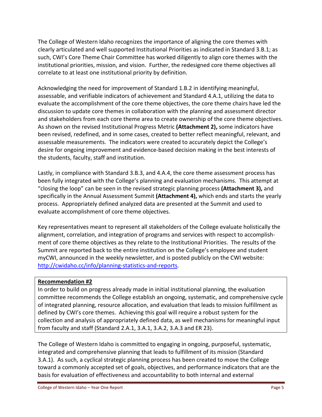The College of Western Idaho recognizes the importance of aligning the core themes with clearly articulated and well supported Institutional Priorities as indicated in Standard 3.B.1; as such, CWI's Core Theme Chair Committee has worked diligently to align core themes with the institutional priorities, mission, and vision. Further, the redesigned core theme objectives all correlate to at least one institutional priority by definition.

Acknowledging the need for improvement of Standard 1.B.2 in identifying meaningful, assessable, and verifiable indicators of achievement and Standard 4.A.1, utilizing the data to evaluate the accomplishment of the core theme objectives, the core theme chairs have led the discussion to update core themes in collaboration with the planning and assessment director and stakeholders from each core theme area to create ownership of the core theme objectives. As shown on the revised Institutional Progress Metric **(Attachment 2),** some indicators have been revised, redefined, and in some cases, created to better reflect meaningful, relevant, and assessable measurements. The indicators were created to accurately depict the College's desire for ongoing improvement and evidence‐based decision making in the best interests of the students, faculty, staff and institution.

Lastly, in compliance with Standard 3.B.3, and 4.A.4, the core theme assessment process has been fully integrated with the College's planning and evaluation mechanisms. This attempt at "closing the loop" can be seen in the revised strategic planning process **(Attachment 3),** and specifically in the Annual Assessment Summit **(Attachment 4),** which ends and starts the yearly process. Appropriately defined analyzed data are presented at the Summit and used to evaluate accomplishment of core theme objectives.

Key representatives meant to represent all stakeholders of the College evaluate holistically the alignment, correlation, and integration of programs and services with respect to accomplish‐ ment of core theme objectives as they relate to the Institutional Priorities. The results of the Summit are reported back to the entire institution on the College's employee and student myCWI, announced in the weekly newsletter, and is posted publicly on the CWI website: http://cwidaho.cc/info/planning-statistics-and-reports.

### **Recommendation #2**

In order to build on progress already made in initial institutional planning, the evaluation committee recommends the College establish an ongoing, systematic, and comprehensive cycle of integrated planning, resource allocation, and evaluation that leads to mission fulfillment as defined by CWI's core themes. Achieving this goal will require a robust system for the collection and analysis of appropriately defined data, as well mechanisms for meaningful input from faculty and staff (Standard 2.A.1, 3.A.1, 3.A.2, 3.A.3 and ER 23).

The College of Western Idaho is committed to engaging in ongoing, purposeful, systematic, integrated and comprehensive planning that leads to fulfillment of its mission (Standard 3.A.1). As such, a cyclical strategic planning process has been created to move the College toward a commonly accepted set of goals, objectives, and performance indicators that are the basis for evaluation of effectiveness and accountability to both internal and external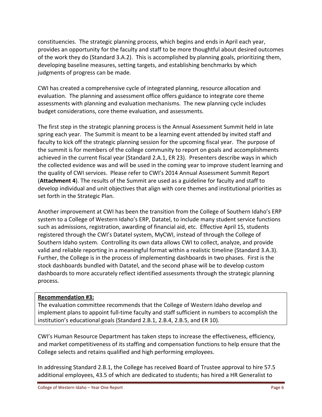constituencies. The strategic planning process, which begins and ends in April each year, provides an opportunity for the faculty and staff to be more thoughtful about desired outcomes of the work they do (Standard 3.A.2). This is accomplished by planning goals, prioritizing them, developing baseline measures, setting targets, and establishing benchmarks by which judgments of progress can be made.

CWI has created a comprehensive cycle of integrated planning, resource allocation and evaluation. The planning and assessment office offers guidance to integrate core theme assessments with planning and evaluation mechanisms. The new planning cycle includes budget considerations, core theme evaluation, and assessments.

The first step in the strategic planning process is the Annual Assessment Summit held in late spring each year. The Summit is meant to be a learning event attended by invited staff and faculty to kick off the strategic planning session for the upcoming fiscal year. The purpose of the summit is for members of the college community to report on goals and accomplishments achieved in the current fiscal year (Standard 2.A.1, ER 23). Presenters describe ways in which the collected evidence was and will be used in the coming year to improve student learning and the quality of CWI services. Please refer to CWI's 2014 Annual Assessment Summit Report (**Attachment 4**). The results of the Summit are used as a guideline for faculty and staff to develop individual and unit objectives that align with core themes and institutional priorities as set forth in the Strategic Plan.

Another improvement at CWI has been the transition from the College of Southern Idaho's ERP system to a College of Western Idaho's ERP, Datatel, to include many student service functions such as admissions, registration, awarding of financial aid, etc. Effective April 15, students registered through the CWI's Datatel system, MyCWI, instead of through the College of Southern Idaho system. Controlling its own data allows CWI to collect, analyze, and provide valid and reliable reporting in a meaningful format within a realistic timeline (Standard 3.A.3). Further, the College is in the process of implementing dashboards in two phases. First is the stock dashboards bundled with Datatel, and the second phase will be to develop custom dashboards to more accurately reflect identified assessments through the strategic planning process.

### **Recommendation #3:**

The evaluation committee recommends that the College of Western Idaho develop and implement plans to appoint full-time faculty and staff sufficient in numbers to accomplish the institution's educational goals (Standard 2.B.1, 2.B.4, 2.B.5, and ER 10).

CWI's Human Resource Department has taken steps to increase the effectiveness, efficiency, and market competitiveness of its staffing and compensation functions to help ensure that the College selects and retains qualified and high performing employees.

In addressing Standard 2.B.1, the College has received Board of Trustee approval to hire 57.5 additional employees, 43.5 of which are dedicated to students; has hired a HR Generalist to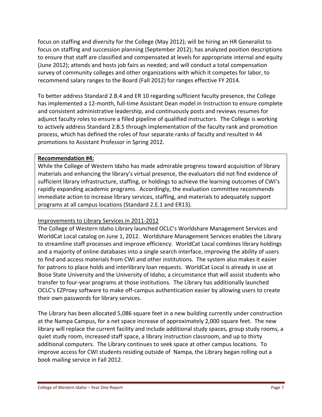focus on staffing and diversity for the College (May 2012); will be hiring an HR Generalist to focus on staffing and succession planning (September 2012); has analyzed position descriptions to ensure that staff are classified and compensated at levels for appropriate internal and equity (June 2012); attends and hosts job fairs as needed; and will conduct a total compensation survey of community colleges and other organizations with which it competes for labor, to recommend salary ranges to the Board (Fall 2012) for ranges effective FY 2014.

To better address Standard 2.B.4 and ER 10 regarding sufficient faculty presence, the College has implemented a 12-month, full-time Assistant Dean model in Instruction to ensure complete and consistent administrative leadership, and continuously posts and reviews resumes for adjunct faculty roles to ensure a filled pipeline of qualified instructors. The College is working to actively address Standard 2.B.5 through implementation of the faculty rank and promotion process, which has defined the roles of four separate ranks of faculty and resulted in 44 promotions to Assistant Professor in Spring 2012.

#### **Recommendation #4:**

While the College of Western Idaho has made admirable progress toward acquisition of library materials and enhancing the library's virtual presence, the evaluators did not find evidence of sufficient library infrastructure, staffing, or holdings to achieve the learning outcomes of CWI's rapidly expanding academic programs. Accordingly, the evaluation committee recommends immediate action to increase library services, staffing, and materials to adequately support programs at all campus locations (Standard 2.E.1 and ER13).

#### Improvements to Library Services in 2011‐2012

The College of Western Idaho Library launched OCLC's Worldshare Management Services and WorldCat Local catalog on June 1, 2012. Worldshare Management Services enables the Library to streamline staff processes and improve efficiency. WorldCat Local combines library holdings and a majority of online databases into a single search interface, improving the ability of users to find and access materials from CWI and other institutions. The system also makes it easier for patrons to place holds and interlibrary loan requests. WorldCat Local is already in use at Boise State University and the University of Idaho, a circumstance that will assist students who transfer to four‐year programs at those institutions. The Library has additionally launched OCLC's EZProxy software to make off‐campus authentication easier by allowing users to create their own passwords for library services.

The Library has been allocated 5,086 square feet in a new building currently under construction at the Nampa Campus, for a net space increase of approximately 2,000 square feet. The new library will replace the current facility and include additional study spaces, group study rooms, a quiet study room, increased staff space, a library instruction classroom, and up to thirty additional computers. The Library continues to seek space at other campus locations. To improve access for CWI students residing outside of Nampa, the Library began rolling out a book mailing service in Fall 2012.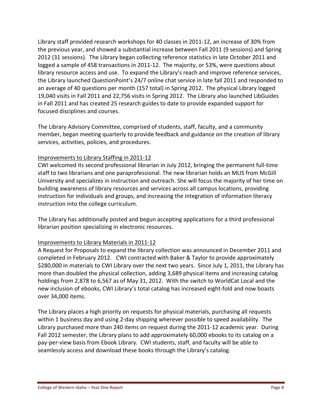Library staff provided research workshops for 40 classes in 2011‐12, an increase of 30% from the previous year, and showed a substantial increase between Fall 2011 (9 sessions) and Spring 2012 (31 sessions). The Library began collecting reference statistics in late October 2011 and logged a sample of 458 transactions in 2011‐12. The majority, or 53%, were questions about library resource access and use. To expand the Library's reach and improve reference services, the Library launched QuestionPoint's 24/7 online chat service in late fall 2011 and responded to an average of 40 questions per month (157 total) in Spring 2012. The physical Library logged 19,040 visits in Fall 2011 and 22,756 visits in Spring 2012. The Library also launched LibGuides in Fall 2011 and has created 25 research guides to date to provide expanded support for focused disciplines and courses.

The Library Advisory Committee, comprised of students, staff, faculty, and a community member, began meeting quarterly to provide feedback and guidance on the creation of library services, activities, policies, and procedures.

### Improvements to Library Staffing in 2011‐12

CWI welcomed its second professional librarian in July 2012, bringing the permanent full‐time staff to two librarians and one paraprofessional. The new librarian holds an MLIS from McGill University and specializes in instruction and outreach. She will focus the majority of her time on building awareness of library resources and services across all campus locations, providing instruction for individuals and groups, and increasing the integration of information literacy instruction into the college curriculum.

The Library has additionally posted and begun accepting applications for a third professional librarian position specializing in electronic resources.

### Improvements to Library Materials in 2011‐12

A Request for Proposals to expand the library collection was announced in December 2011 and completed in February 2012. CWI contracted with Baker & Taylor to provide approximately \$280,000 in materials to CWI Library over the next two years. Since July 1, 2011, the Library has more than doubled the physical collection, adding 3,689 physical items and increasing catalog holdings from 2,878 to 6,567 as of May 31, 2012. With the switch to WorldCat Local and the new inclusion of ebooks, CWI Library's total catalog has increased eight‐fold and now boasts over 34,000 items.

The Library places a high priority on requests for physical materials, purchasing all requests within 1 business day and using 2-day shipping wherever possible to speed availability. The Library purchased more than 240 items on request during the 2011‐12 academic year. During Fall 2012 semester, the Library plans to add approximately 60,000 ebooks to its catalog on a pay‐per‐view basis from Ebook Library. CWI students, staff, and faculty will be able to seamlessly access and download these books through the Library's catalog.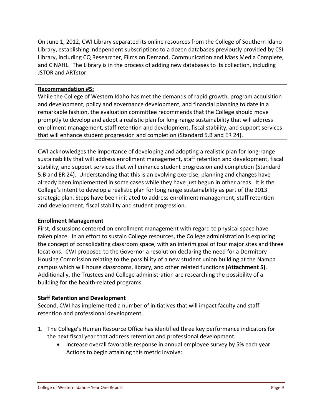On June 1, 2012, CWI Library separated its online resources from the College of Southern Idaho Library, establishing independent subscriptions to a dozen databases previously provided by CSI Library, including CQ Researcher, Films on Demand, Communication and Mass Media Complete, and CINAHL. The Library is in the process of adding new databases to its collection, including JSTOR and ARTstor.

#### **Recommendation #5:**

While the College of Western Idaho has met the demands of rapid growth, program acquisition and development, policy and governance development, and financial planning to date in a remarkable fashion, the evaluation committee recommends that the College should move promptly to develop and adopt a realistic plan for long‐range sustainability that will address enrollment management, staff retention and development, fiscal stability, and support services that will enhance student progression and completion (Standard 5.B and ER 24).

CWI acknowledges the importance of developing and adopting a realistic plan for long‐range sustainability that will address enrollment management, staff retention and development, fiscal stability, and support services that will enhance student progression and completion (Standard 5.B and ER 24). Understanding that this is an evolving exercise, planning and changes have already been implemented in some cases while they have just begun in other areas. It is the College's intent to develop a realistic plan for long range sustainability as part of the 2013 strategic plan. Steps have been initiated to address enrollment management, staff retention and development, fiscal stability and student progression.

#### **Enrollment Management**

First, discussions centered on enrollment management with regard to physical space have taken place. In an effort to sustain College resources, the College administration is exploring the concept of consolidating classroom space, with an interim goal of four major sites and three locations. CWI proposed to the Governor a resolution declaring the need for a Dormitory Housing Commission relating to the possibility of a new student union building at the Nampa campus which will house classrooms, library, and other related functions **(Attachment 5)**. Additionally, the Trustees and College administration are researching the possibility of a building for the health‐related programs.

### **Staff Retention and Development**

Second, CWI has implemented a number of initiatives that will impact faculty and staff retention and professional development.

- 1. The College's Human Resource Office has identified three key performance indicators for the next fiscal year that address retention and professional development.
	- Increase overall favorable response in annual employee survey by 5% each year. Actions to begin attaining this metric involve: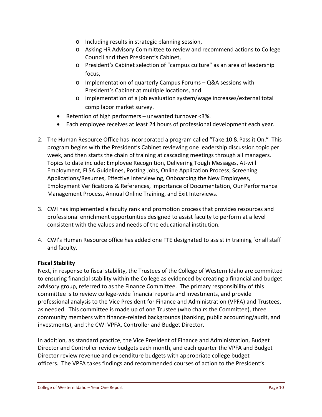- o Including results in strategic planning session,
- o Asking HR Advisory Committee to review and recommend actions to College Council and then President's Cabinet,
- o President's Cabinet selection of "campus culture" as an area of leadership focus,
- o Implementation of quarterly Campus Forums Q&A sessions with President's Cabinet at multiple locations, and
- o Implementation of a job evaluation system/wage increases/external total comp labor market survey.
- Retention of high performers unwanted turnover <3%.
- Each employee receives at least 24 hours of professional development each year.
- 2. The Human Resource Office has incorporated a program called "Take 10 & Pass it On." This program begins with the President's Cabinet reviewing one leadership discussion topic per week, and then starts the chain of training at cascading meetings through all managers. Topics to date include: Employee Recognition, Delivering Tough Messages, At‐will Employment, FLSA Guidelines, Posting Jobs, Online Application Process, Screening Applications/Resumes, Effective Interviewing, Onboarding the New Employees, Employment Verifications & References, Importance of Documentation, Our Performance Management Process, Annual Online Training, and Exit Interviews.
- 3. CWI has implemented a faculty rank and promotion process that provides resources and professional enrichment opportunities designed to assist faculty to perform at a level consistent with the values and needs of the educational institution.
- 4. CWI's Human Resource office has added one FTE designated to assist in training for all staff and faculty.

### **Fiscal Stability**

Next, in response to fiscal stability, the Trustees of the College of Western Idaho are committed to ensuring financial stability within the College as evidenced by creating a financial and budget advisory group, referred to as the Finance Committee. The primary responsibility of this committee is to review college‐wide financial reports and investments, and provide professional analysis to the Vice President for Finance and Administration (VPFA) and Trustees, as needed. This committee is made up of one Trustee (who chairs the Committee), three community members with finance‐related backgrounds (banking, public accounting/audit, and investments), and the CWI VPFA, Controller and Budget Director.

In addition, as standard practice, the Vice President of Finance and Administration, Budget Director and Controller review budgets each month, and each quarter the VPFA and Budget Director review revenue and expenditure budgets with appropriate college budget officers. The VPFA takes findings and recommended courses of action to the President's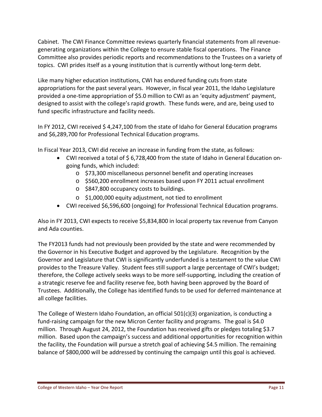Cabinet. The CWI Finance Committee reviews quarterly financial statements from all revenue‐ generating organizations within the College to ensure stable fiscal operations. The Finance Committee also provides periodic reports and recommendations to the Trustees on a variety of topics. CWI prides itself as a young institution that is currently without long‐term debt.

Like many higher education institutions, CWI has endured funding cuts from state appropriations for the past several years. However, in fiscal year 2011, the Idaho Legislature provided a one‐time appropriation of \$5.0 million to CWI as an 'equity adjustment' payment, designed to assist with the college's rapid growth. These funds were, and are, being used to fund specific infrastructure and facility needs.

In FY 2012, CWI received \$4,247,100 from the state of Idaho for General Education programs and \$6,289,700 for Professional Technical Education programs.

In Fiscal Year 2013, CWI did receive an increase in funding from the state, as follows:

- CWI received a total of \$6,728,400 from the state of Idaho in General Education ongoing funds, which included:
	- o \$73,300 miscellaneous personnel benefit and operating increases
	- o \$560,200 enrollment increases based upon FY 2011 actual enrollment
	- o \$847,800 occupancy costs to buildings.
	- o \$1,000,000 equity adjustment, not tied to enrollment
- CWI received \$6,596,600 (ongoing) for Professional Technical Education programs.

Also in FY 2013, CWI expects to receive \$5,834,800 in local property tax revenue from Canyon and Ada counties.

The FY2013 funds had not previously been provided by the state and were recommended by the Governor in his Executive Budget and approved by the Legislature. Recognition by the Governor and Legislature that CWI is significantly underfunded is a testament to the value CWI provides to the Treasure Valley. Student fees still support a large percentage of CWI's budget; therefore, the College actively seeks ways to be more self‐supporting, including the creation of a strategic reserve fee and facility reserve fee, both having been approved by the Board of Trustees. Additionally, the College has identified funds to be used for deferred maintenance at all college facilities.

The College of Western Idaho Foundation, an official 501(c)(3) organization, is conducting a fund-raising campaign for the new Micron Center facility and programs. The goal is \$4.0 million. Through August 24, 2012, the Foundation has received gifts or pledges totaling \$3.7 million. Based upon the campaign's success and additional opportunities for recognition within the facility, the Foundation will pursue a stretch goal of achieving \$4.5 million. The remaining balance of \$800,000 will be addressed by continuing the campaign until this goal is achieved.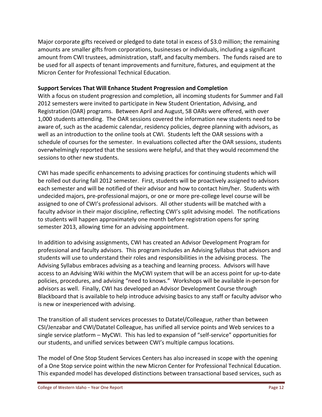Major corporate gifts received or pledged to date total in excess of \$3.0 million; the remaining amounts are smaller gifts from corporations, businesses or individuals, including a significant amount from CWI trustees, administration, staff, and faculty members. The funds raised are to be used for all aspects of tenant improvements and furniture, fixtures, and equipment at the Micron Center for Professional Technical Education.

#### **Support Services That Will Enhance Student Progression and Completion**

With a focus on student progression and completion, all incoming students for Summer and Fall 2012 semesters were invited to participate in New Student Orientation, Advising, and Registration (OAR) programs. Between April and August, 58 OARs were offered, with over 1,000 students attending. The OAR sessions covered the information new students need to be aware of, such as the academic calendar, residency policies, degree planning with advisors, as well as an introduction to the online tools at CWI. Students left the OAR sessions with a schedule of courses for the semester. In evaluations collected after the OAR sessions, students overwhelmingly reported that the sessions were helpful, and that they would recommend the sessions to other new students.

CWI has made specific enhancements to advising practices for continuing students which will be rolled out during fall 2012 semester. First, students will be proactively assigned to advisors each semester and will be notified of their advisor and how to contact him/her. Students with undecided majors, pre‐professional majors, or one or more pre‐college level course will be assigned to one of CWI's professional advisors. All other students will be matched with a faculty advisor in their major discipline, reflecting CWI's split advising model. The notifications to students will happen approximately one month before registration opens for spring semester 2013, allowing time for an advising appointment.

In addition to advising assignments, CWI has created an Advisor Development Program for professional and faculty advisors. This program includes an Advising Syllabus that advisors and students will use to understand their roles and responsibilities in the advising process. The Advising Syllabus embraces advising as a teaching and learning process. Advisors will have access to an Advising Wiki within the MyCWI system that will be an access point for up-to-date policies, procedures, and advising "need to knows." Workshops will be available in‐person for advisors as well. Finally, CWI has developed an Advisor Development Course through Blackboard that is available to help introduce advising basics to any staff or faculty advisor who is new or inexperienced with advising.

The transition of all student services processes to Datatel/Colleague, rather than between CSI/Jenzabar and CWI/Datatel Colleague, has unified all service points and Web services to a single service platform – MyCWI. This has led to expansion of "self‐service" opportunities for our students, and unified services between CWI's multiple campus locations.

The model of One Stop Student Services Centers has also increased in scope with the opening of a One Stop service point within the new Micron Center for Professional Technical Education. This expanded model has developed distinctions between transactional based services, such as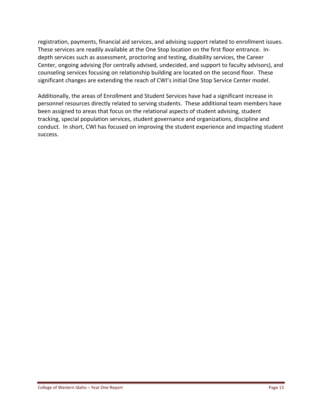registration, payments, financial aid services, and advising support related to enrollment issues. These services are readily available at the One Stop location on the first floor entrance. In‐ depth services such as assessment, proctoring and testing, disability services, the Career Center, ongoing advising (for centrally advised, undecided, and support to faculty advisors), and counseling services focusing on relationship building are located on the second floor. These significant changes are extending the reach of CWI's initial One Stop Service Center model.

Additionally, the areas of Enrollment and Student Services have had a significant increase in personnel resources directly related to serving students. These additional team members have been assigned to areas that focus on the relational aspects of student advising, student tracking, special population services, student governance and organizations, discipline and conduct. In short, CWI has focused on improving the student experience and impacting student success.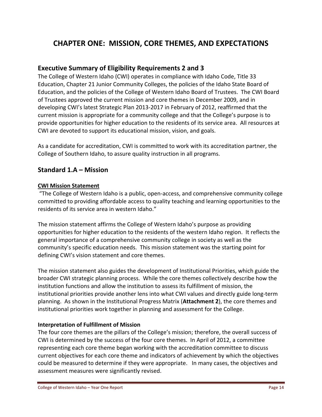# **CHAPTER ONE: MISSION, CORE THEMES, AND EXPECTATIONS**

## **Executive Summary of Eligibility Requirements 2 and 3**

The College of Western Idaho (CWI) operates in compliance with Idaho Code, Title 33 Education, Chapter 21 Junior Community Colleges, the policies of the Idaho State Board of Education, and the policies of the College of Western Idaho Board of Trustees. The CWI Board of Trustees approved the current mission and core themes in December 2009, and in developing CWI's latest Strategic Plan 2013‐2017 in February of 2012, reaffirmed that the current mission is appropriate for a community college and that the College's purpose is to provide opportunities for higher education to the residents of its service area. All resources at CWI are devoted to support its educational mission, vision, and goals.

As a candidate for accreditation, CWI is committed to work with its accreditation partner, the College of Southern Idaho, to assure quality instruction in all programs.

## **Standard 1.A – Mission**

#### **CWI Mission Statement**

"The College of Western Idaho is a public, open‐access, and comprehensive community college committed to providing affordable access to quality teaching and learning opportunities to the residents of its service area in western Idaho."

The mission statement affirms the College of Western Idaho's purpose as providing opportunities for higher education to the residents of the western Idaho region. It reflects the general importance of a comprehensive community college in society as well as the community's specific education needs. This mission statement was the starting point for defining CWI's vision statement and core themes.

The mission statement also guides the development of Institutional Priorities, which guide the broader CWI strategic planning process. While the core themes collectively describe how the institution functions and allow the institution to assess its fulfillment of mission, the institutional priorities provide another lens into what CWI values and directly guide long‐term planning. As shown in the Institutional Progress Matrix (**Attachment 2**), the core themes and institutional priorities work together in planning and assessment for the College.

#### **Interpretation of Fulfillment of Mission**

The four core themes are the pillars of the College's mission; therefore, the overall success of CWI is determined by the success of the four core themes. In April of 2012, a committee representing each core theme began working with the accreditation committee to discuss current objectives for each core theme and indicators of achievement by which the objectives could be measured to determine if they were appropriate. In many cases, the objectives and assessment measures were significantly revised.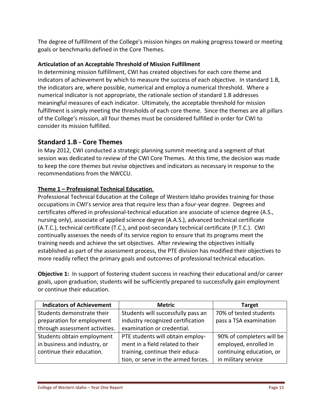The degree of fulfillment of the College's mission hinges on making progress toward or meeting goals or benchmarks defined in the Core Themes.

## **Articulation of an Acceptable Threshold of Mission Fulfillment**

In determining mission fulfillment, CWI has created objectives for each core theme and indicators of achievement by which to measure the success of each objective. In standard 1.B, the indicators are, where possible, numerical and employ a numerical threshold. Where a numerical indicator is not appropriate, the rationale section of standard 1.B addresses meaningful measures of each indicator. Ultimately, the acceptable threshold for mission fulfillment is simply meeting the thresholds of each core theme. Since the themes are all pillars of the College's mission, all four themes must be considered fulfilled in order for CWI to consider its mission fulfilled.

# **Standard 1.B ‐ Core Themes**

In May 2012, CWI conducted a strategic planning summit meeting and a segment of that session was dedicated to review of the CWI Core Themes. At this time, the decision was made to keep the core themes but revise objectives and indicators as necessary in response to the recommendations from the NWCCU.

## **Theme 1 – Professional Technical Education**.

Professional Technical Education at the College of Western Idaho provides training for those occupations in CWI's service area that require less than a four‐year degree. Degrees and certificates offered in professional‐technical education are associate of science degree (A.S., nursing only), associate of applied science degree (A.A.S.), advanced technical certificate (A.T.C.), technical certificate (T.C.), and post‐secondary technical certificate (P.T.C.). CWI continually assesses the needs of its service region to ensure that its programs meet the training needs and achieve the set objectives. After reviewing the objectives initially established as part of the assessment process, the PTE division has modified their objectives to more readily reflect the primary goals and outcomes of professional technical education.

**Objective 1:** In support of fostering student success in reaching their educational and/or career goals, upon graduation, students will be sufficiently prepared to successfully gain employment or continue their education.

| <b>Indicators of Achievement</b> | <b>Metric</b>                       | <b>Target</b>             |
|----------------------------------|-------------------------------------|---------------------------|
| Students demonstrate their       | Students will successfully pass an  | 70% of tested students    |
| preparation for employment       | industry recognized certification   | pass a TSA examination    |
| through assessment activities.   | examination or credential.          |                           |
| Students obtain employment       | PTE students will obtain employ-    | 90% of completers will be |
| in business and industry, or     | ment in a field related to their    | employed, enrolled in     |
| continue their education.        | training, continue their educa-     | continuing education, or  |
|                                  | tion, or serve in the armed forces. | in military service       |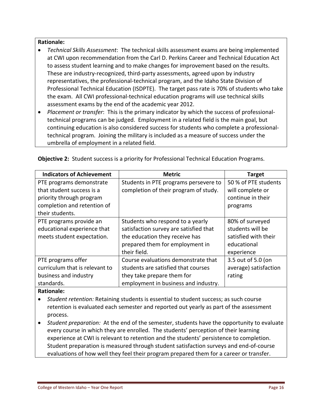#### **Rationale:**

- *Technical Skills Assessment*:The technical skills assessment exams are being implemented at CWI upon recommendation from the Carl D. Perkins Career and Technical Education Act to assess student learning and to make changes for improvement based on the results. These are industry‐recognized, third‐party assessments, agreed upon by industry representatives, the professional‐technical program, and the Idaho State Division of Professional Technical Education (ISDPTE). The target pass rate is 70% of students who take the exam. All CWI professional‐technical education programs will use technical skills assessment exams by the end of the academic year 2012.
- *Placement or transfer*: This is the primary indicator by which the success of professional‐ technical programs can be judged. Employment in a related field is the main goal, but continuing education is also considered success for students who complete a professional‐ technical program. Joining the military is included as a measure of success under the umbrella of employment in a related field.

| <b>Indicators of Achievement</b> | <b>Metric</b>                          | <b>Target</b>         |
|----------------------------------|----------------------------------------|-----------------------|
| PTE programs demonstrate         | Students in PTE programs persevere to  | 50 % of PTE students  |
| that student success is a        | completion of their program of study.  | will complete or      |
| priority through program         |                                        | continue in their     |
| completion and retention of      |                                        | programs              |
| their students.                  |                                        |                       |
| PTE programs provide an          | Students who respond to a yearly       | 80% of surveyed       |
| educational experience that      | satisfaction survey are satisfied that | students will be      |
| meets student expectation.       | the education they receive has         | satisfied with their  |
|                                  | prepared them for employment in        | educational           |
|                                  | their field.                           | experience            |
| PTE programs offer               | Course evaluations demonstrate that    | 3.5 out of 5.0 (on    |
| curriculum that is relevant to   | students are satisfied that courses    | average) satisfaction |
| business and industry            | they take prepare them for             | rating                |
| standards.                       | employment in business and industry.   |                       |

**Objective 2:** Student success is a priority for Professional Technical Education Programs.

#### **Rationale:**

- *Student retention:* Retaining students is essential to student success; as such course retention is evaluated each semester and reported out yearly as part of the assessment process.
- Student *preparation:* At the end of the semester, students have the opportunity to evaluate every course in which they are enrolled. The students' perception of their learning experience at CWI is relevant to retention and the students' persistence to completion. Student preparation is measured through student satisfaction surveys and end‐of‐course evaluations of how well they feel their program prepared them for a career or transfer.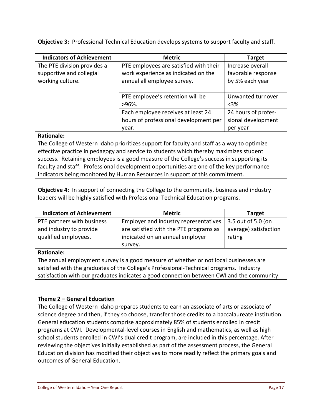**Indicators of Achievement**  $\qquad$  **Metric Metric Target** The PTE division provides a supportive and collegial working culture. PTE employees are satisfied with their work experience as indicated on the annual all employee survey. Increase overall favorable response by 5% each year PTE employee's retention will be >96%. Unwanted turnover <3% Each employee receives at least 24 hours of professional development per year. 24 hours of profes‐ sional development per year **Rationale:**

**Objective 3:** Professional Technical Education develops systems to support faculty and staff.

The College of Western Idaho prioritizes support for faculty and staff as a way to optimize effective practice in pedagogy and service to students which thereby maximizes student success. Retaining employees is a good measure of the College's success in supporting its faculty and staff. Professional development opportunities are one of the key performance indicators being monitored by Human Resources in support of this commitment.

**Objective 4:** In support of connecting the College to the community, business and industry leaders will be highly satisfied with Professional Technical Education programs.

| <b>Indicators of Achievement</b>                                                                           | <b>Metric</b>                                                                                                                 | <b>Target</b>                                         |
|------------------------------------------------------------------------------------------------------------|-------------------------------------------------------------------------------------------------------------------------------|-------------------------------------------------------|
| PTE partners with business<br>and industry to provide<br>qualified employees.                              | Employer and industry representatives<br>are satisfied with the PTE programs as<br>indicated on an annual employer<br>survey. | 3.5 out of 5.0 (on<br>average) satisfaction<br>rating |
| <b>Rationale:</b><br>The annual employment survey is a good measure of whether or not local businesses are |                                                                                                                               |                                                       |

satisfied with the graduates of the College's Professional‐Technical programs. Industry satisfaction with our graduates indicates a good connection between CWI and the community.

## **Theme 2 – General Education**

The College of Western Idaho prepares students to earn an associate of arts or associate of science degree and then, if they so choose, transfer those credits to a baccalaureate institution. General education students comprise approximately 85% of students enrolled in credit programs at CWI. Developmental‐level courses in English and mathematics, as well as high school students enrolled in CWI's dual credit program, are included in this percentage. After reviewing the objectives initially established as part of the assessment process, the General Education division has modified their objectives to more readily reflect the primary goals and outcomes of General Education.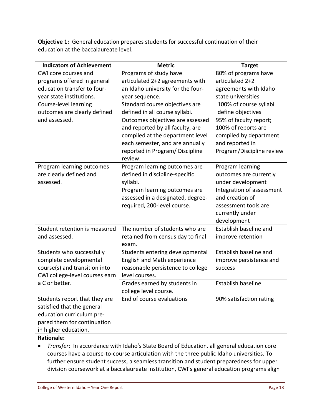**Objective 1:** General education prepares students for successful continuation of their education at the baccalaureate level.

| <b>Indicators of Achievement</b> | <b>Metric</b>                     | <b>Target</b>             |
|----------------------------------|-----------------------------------|---------------------------|
| CWI core courses and             | Programs of study have            | 80% of programs have      |
| programs offered in general      | articulated 2+2 agreements with   | articulated 2+2           |
| education transfer to four-      | an Idaho university for the four- | agreements with Idaho     |
| year state institutions.         | year sequence.                    | state universities        |
| Course-level learning            | Standard course objectives are    | 100% of course syllabi    |
| outcomes are clearly defined     | defined in all course syllabi.    | define objectives         |
| and assessed.                    | Outcomes objectives are assessed  | 95% of faculty report;    |
|                                  | and reported by all faculty, are  | 100% of reports are       |
|                                  | compiled at the department level  | compiled by department    |
|                                  | each semester, and are annually   | and reported in           |
|                                  | reported in Program/ Discipline   | Program/Discipline review |
|                                  | review.                           |                           |
| Program learning outcomes        | Program learning outcomes are     | Program learning          |
| are clearly defined and          | defined in discipline-specific    | outcomes are currently    |
| assessed.                        | syllabi.                          | under development         |
|                                  | Program learning outcomes are     | Integration of assessment |
|                                  | assessed in a designated, degree- | and creation of           |
|                                  | required, 200-level course.       | assessment tools are      |
|                                  |                                   | currently under           |
|                                  |                                   | development               |
| Student retention is measured    | The number of students who are    | Establish baseline and    |
| and assessed.                    | retained from census day to final | improve retention         |
|                                  | exam.                             |                           |
| Students who successfully        | Students entering developmental   | Establish baseline and    |
| complete developmental           | English and Math experience       | improve persistence and   |
| course(s) and transition into    | reasonable persistence to college | success                   |
| CWI college-level courses earn   | level courses.                    |                           |
| a C or better.                   | Grades earned by students in      | Establish baseline        |
|                                  | college level course.             |                           |
| Students report that they are    | End of course evaluations         | 90% satisfaction rating   |
| satisfied that the general       |                                   |                           |
| education curriculum pre-        |                                   |                           |
| pared them for continuation      |                                   |                           |
| in higher education.             |                                   |                           |

## **Rationale:**

 *Transfer*: In accordance with Idaho's State Board of Education, all general education core courses have a course‐to‐course articulation with the three public Idaho universities. To further ensure student success, a seamless transition and student preparedness for upper division coursework at a baccalaureate institution, CWI's general education programs align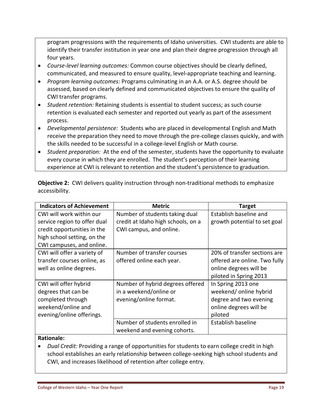program progressions with the requirements of Idaho universities. CWI students are able to identify their transfer institution in year one and plan their degree progression through all four years.

- *Course‐level learning outcomes:* Common course objectives should be clearly defined, communicated, and measured to ensure quality, level‐appropriate teaching and learning.
- *Program learning outcomes:* Programs culminating in an A.A. or A.S. degree should be assessed, based on clearly defined and communicated objectives to ensure the quality of CWI transfer programs.
- *Student retention:* Retaining students is essential to student success; as such course retention is evaluated each semester and reported out yearly as part of the assessment process.
- Developmental persistence: Students who are placed in developmental English and Math receive the preparation they need to move through the pre-college classes quickly, and with the skills needed to be successful in a college‐level English or Math course.
- Student *preparation:* At the end of the semester, students have the opportunity to evaluate every course in which they are enrolled. The student's perception of their learning experience at CWI is relevant to retention and the student's persistence to graduation.

| <b>Indicators of Achievement</b> | <b>Metric</b>                      | <b>Target</b>                 |
|----------------------------------|------------------------------------|-------------------------------|
| CWI will work within our         | Number of students taking dual     | Establish baseline and        |
| service region to offer dual     | credit at Idaho high schools, on a | growth potential to set goal  |
| credit opportunities in the      | CWI campus, and online.            |                               |
| high school setting, on the      |                                    |                               |
| CWI campuses, and online.        |                                    |                               |
| CWI will offer a variety of      | Number of transfer courses         | 20% of transfer sections are  |
| transfer courses online, as      | offered online each year.          | offered are online. Two fully |
| well as online degrees.          |                                    | online degrees will be        |
|                                  |                                    | piloted in Spring 2013        |
| CWI will offer hybrid            | Number of hybrid degrees offered   | In Spring 2013 one            |
| degrees that can be              | in a weekend/online or             | weekend/ online hybrid        |
| completed through                | evening/online format.             | degree and two evening        |
| weekend/online and               |                                    | online degrees will be        |
| evening/online offerings.        |                                    | piloted                       |
|                                  | Number of students enrolled in     | Establish baseline            |
|                                  | weekend and evening cohorts.       |                               |

**Objective 2:** CWI delivers quality instruction through non-traditional methods to emphasize accessibility.

### **Rationale:**

 *Dual Credit:* Providing a range of opportunities for students to earn college credit in high school establishes an early relationship between college‐seeking high school students and CWI, and increases likelihood of retention after college entry.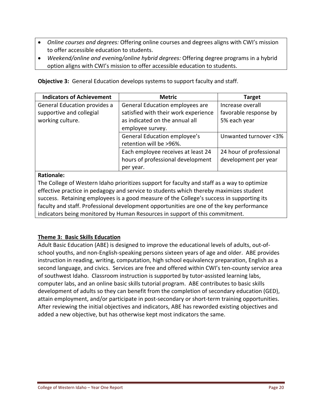- *Online courses and degrees:* Offering online courses and degrees aligns with CWI's mission to offer accessible education to students.
- *Weekend/online and evening/online hybrid degrees:* Offering degree programs in a hybrid option aligns with CWI's mission to offer accessible education to students.

**Objective 3:** General Education develops systems to support faculty and staff.

| <b>Indicators of Achievement</b> | <b>Metric</b>                        | <b>Target</b>           |
|----------------------------------|--------------------------------------|-------------------------|
| General Education provides a     | General Education employees are      | Increase overall        |
| supportive and collegial         | satisfied with their work experience | favorable response by   |
| working culture.                 | as indicated on the annual all       | 5% each year            |
|                                  | employee survey.                     |                         |
|                                  | General Education employee's         | Unwanted turnover <3%   |
|                                  | retention will be >96%.              |                         |
|                                  | Each employee receives at least 24   | 24 hour of professional |
|                                  | hours of professional development    | development per year    |
|                                  | per year.                            |                         |
|                                  |                                      |                         |

#### **Rationale:**

The College of Western Idaho prioritizes support for faculty and staff as a way to optimize effective practice in pedagogy and service to students which thereby maximizes student success. Retaining employees is a good measure of the College's success in supporting its faculty and staff. Professional development opportunities are one of the key performance indicators being monitored by Human Resources in support of this commitment.

### **Theme 3: Basic Skills Education**

Adult Basic Education (ABE) is designed to improve the educational levels of adults, out‐of‐ school youths, and non‐English‐speaking persons sixteen years of age and older. ABE provides instruction in reading, writing, computation, high school equivalency preparation, English as a second language, and civics. Services are free and offered within CWI's ten-county service area of southwest Idaho. Classroom instruction is supported by tutor‐assisted learning labs, computer labs, and an online basic skills tutorial program. ABE contributes to basic skills development of adults so they can benefit from the completion of secondary education (GED), attain employment, and/or participate in post‐secondary or short‐term training opportunities. After reviewing the initial objectives and indicators, ABE has reworded existing objectives and added a new objective, but has otherwise kept most indicators the same.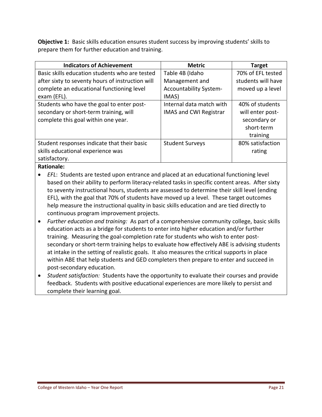**Objective 1:** Basic skills education ensures student success by improving students' skills to prepare them for further education and training.

| <b>Indicators of Achievement</b>                 | <b>Metric</b>                 | <b>Target</b>      |
|--------------------------------------------------|-------------------------------|--------------------|
| Basic skills education students who are tested   | Table 4B (Idaho               | 70% of EFL tested  |
| after sixty to seventy hours of instruction will | Management and                | students will have |
| complete an educational functioning level        | <b>Accountability System-</b> | moved up a level   |
| exam (EFL).                                      | IMAS)                         |                    |
| Students who have the goal to enter post-        | Internal data match with      | 40% of students    |
| secondary or short-term training, will           | <b>IMAS and CWI Registrar</b> | will enter post-   |
| complete this goal within one year.              |                               | secondary or       |
|                                                  |                               | short-term         |
|                                                  |                               | training           |
| Student responses indicate that their basic      | <b>Student Surveys</b>        | 80% satisfaction   |
| skills educational experience was                |                               | rating             |
| satisfactory.                                    |                               |                    |

**Rationale:**

- *EFL*: Students are tested upon entrance and placed at an educational functioning level based on their ability to perform literacy-related tasks in specific content areas. After sixty to seventy instructional hours, students are assessed to determine their skill level (ending EFL), with the goal that 70% of students have moved up a level. These target outcomes help measure the instructional quality in basic skills education and are tied directly to continuous program improvement projects.
- *Further education and training:* As part of a comprehensive community college, basic skills education acts as a bridge for students to enter into higher education and/or further training. Measuring the goal‐completion rate for students who wish to enter post‐ secondary or short-term training helps to evaluate how effectively ABE is advising students at intake in the setting of realistic goals. It also measures the critical supports in place within ABE that help students and GED completers then prepare to enter and succeed in post‐secondary education.
- *Student satisfaction:* Students have the opportunity to evaluate their courses and provide feedback. Students with positive educational experiences are more likely to persist and complete their learning goal.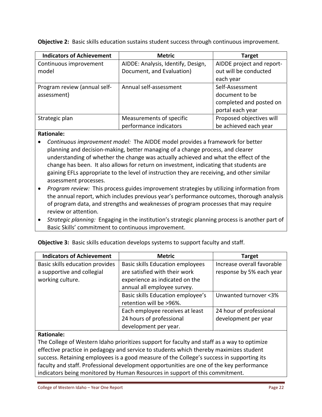**Objective 2:** Basic skills education sustains student success through continuous improvement.

| <b>Indicators of Achievement</b> | <b>Metric</b>                      | <b>Target</b>             |
|----------------------------------|------------------------------------|---------------------------|
| Continuous improvement           | AIDDE: Analysis, Identify, Design, | AIDDE project and report- |
| model                            | Document, and Evaluation)          | out will be conducted     |
|                                  |                                    | each year                 |
| Program review (annual self-     | Annual self-assessment             | Self-Assessment           |
| assessment)                      |                                    | document to be            |
|                                  |                                    | completed and posted on   |
|                                  |                                    | portal each year          |
| Strategic plan                   | Measurements of specific           | Proposed objectives will  |
|                                  | performance indicators             | be achieved each year     |

#### **Rationale:**

- *Continuous improvement model:* The AIDDE model provides a framework for better planning and decision‐making, better managing of a change process, and clearer understanding of whether the change was actually achieved and what the effect of the change has been. It also allows for return on investment, indicating that students are gaining EFLs appropriate to the level of instruction they are receiving, and other similar assessment processes.
- *Program review:* This process guides improvement strategies by utilizing information from the annual report, which includes previous year's performance outcomes, thorough analysis of program data, and strengths and weaknesses of program processes that may require review or attention.
- **•** Strategic planning: Engaging in the institution's strategic planning process is another part of Basic Skills' commitment to continuous improvement.

| <b>Indicators of Achievement</b> | <b>Metric</b>                           | <b>Target</b>              |
|----------------------------------|-----------------------------------------|----------------------------|
| Basic skills education provides  | <b>Basic skills Education employees</b> | Increase overall favorable |
| a supportive and collegial       | are satisfied with their work           | response by 5% each year   |
| working culture.                 | experience as indicated on the          |                            |
|                                  | annual all employee survey.             |                            |
|                                  | Basic skills Education employee's       | Unwanted turnover <3%      |
|                                  | retention will be >96%.                 |                            |
|                                  | Each employee receives at least         | 24 hour of professional    |
|                                  | 24 hours of professional                | development per year       |
|                                  | development per year.                   |                            |

**Objective 3:** Basic skills education develops systems to support faculty and staff.

### **Rationale:**

The College of Western Idaho prioritizes support for faculty and staff as a way to optimize effective practice in pedagogy and service to students which thereby maximizes student success. Retaining employees is a good measure of the College's success in supporting its faculty and staff. Professional development opportunities are one of the key performance indicators being monitored by Human Resources in support of this commitment.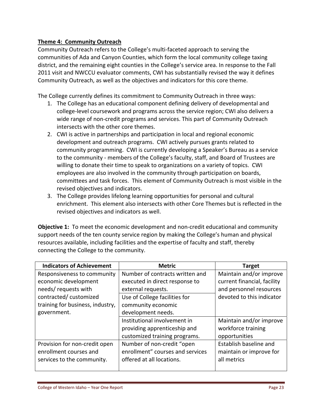## **Theme 4: Community Outreach**

Community Outreach refers to the College's multi‐faceted approach to serving the communities of Ada and Canyon Counties, which form the local community college taxing district, and the remaining eight counties in the College's service area. In response to the Fall 2011 visit and NWCCU evaluator comments, CWI has substantially revised the way it defines Community Outreach, as well as the objectives and indicators for this core theme.

The College currently defines its commitment to Community Outreach in three ways:

- 1. The College has an educational component defining delivery of developmental and college‐level coursework and programs across the service region; CWI also delivers a wide range of non‐credit programs and services. This part of Community Outreach intersects with the other core themes.
- 2. CWI is active in partnerships and participation in local and regional economic development and outreach programs. CWI actively pursues grants related to community programming. CWI is currently developing a Speaker's Bureau as a service to the community ‐ members of the College's faculty, staff, and Board of Trustees are willing to donate their time to speak to organizations on a variety of topics. CWI employees are also involved in the community through participation on boards, committees and task forces. This element of Community Outreach is most visible in the revised objectives and indicators.
- 3. The College provides lifelong learning opportunities for personal and cultural enrichment. This element also intersects with other Core Themes but is reflected in the revised objectives and indicators as well.

**Objective 1:** To meet the economic development and non-credit educational and community support needs of the ten county service region by making the College's human and physical resources available, including facilities and the expertise of faculty and staff, thereby connecting the College to the community.

| <b>Indicators of Achievement</b> | <b>Metric</b>                    | <b>Target</b>               |
|----------------------------------|----------------------------------|-----------------------------|
| Responsiveness to community      | Number of contracts written and  | Maintain and/or improve     |
| economic development             | executed in direct response to   | current financial, facility |
| needs/requests with              | external requests.               | and personnel resources     |
| contracted/customized            | Use of College facilities for    | devoted to this indicator   |
| training for business, industry, | community economic               |                             |
| government.                      | development needs.               |                             |
|                                  | Institutional involvement in     | Maintain and/or improve     |
|                                  | providing apprenticeship and     | workforce training          |
|                                  | customized training programs.    | opportunities               |
| Provision for non-credit open    | Number of non-credit "open       | Establish baseline and      |
| enrollment courses and           | enrollment" courses and services | maintain or improve for     |
| services to the community.       | offered at all locations.        | all metrics                 |
|                                  |                                  |                             |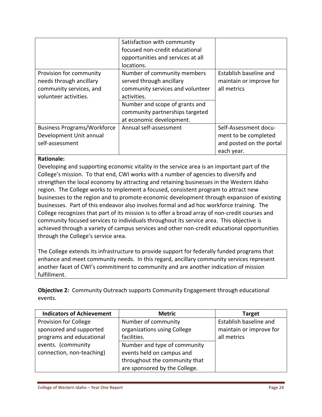|                                    | Satisfaction with community       |                          |
|------------------------------------|-----------------------------------|--------------------------|
|                                    | focused non-credit educational    |                          |
|                                    | opportunities and services at all |                          |
|                                    | locations.                        |                          |
| Provision for community            | Number of community members       | Establish baseline and   |
| needs through ancillary            | served through ancillary          | maintain or improve for  |
| community services, and            | community services and volunteer  | all metrics              |
| volunteer activities.              | activities.                       |                          |
|                                    | Number and scope of grants and    |                          |
|                                    | community partnerships targeted   |                          |
|                                    | at economic development.          |                          |
| <b>Business Programs/Workforce</b> | Annual self-assessment            | Self-Assessment docu-    |
| Development Unit annual            |                                   | ment to be completed     |
| self-assessment                    |                                   | and posted on the portal |
|                                    |                                   | each year.               |

### **Rationale:**

Developing and supporting economic vitality in the service area is an important part of the College's mission. To that end, CWI works with a number of agencies to diversify and strengthen the local economy by attracting and retaining businesses in the Western Idaho region. The College works to implement a focused, consistent program to attract new businesses to the region and to promote economic development through expansion of existing businesses. Part of this endeavor also involves formal and ad hoc workforce training. The College recognizes that part of its mission is to offer a broad array of non‐credit courses and community focused services to individuals throughout its service area. This objective is achieved through a variety of campus services and other non‐credit educational opportunities through the College's service area.

The College extends its infrastructure to provide support for federally funded programs that enhance and meet community needs. In this regard, ancillary community services represent another facet of CWI's commitment to community and are another indication of mission fulfillment.

**Objective 2:** Community Outreach supports Community Engagement through educational events.

| <b>Indicators of Achievement</b> | <b>Metric</b>                 | <b>Target</b>           |
|----------------------------------|-------------------------------|-------------------------|
| Provision for College            | Number of community           | Establish baseline and  |
| sponsored and supported          | organizations using College   | maintain or improve for |
| programs and educational         | facilities.                   | all metrics             |
| events. (community               | Number and type of community  |                         |
| connection, non-teaching)        | events held on campus and     |                         |
|                                  | throughout the community that |                         |
|                                  | are sponsored by the College. |                         |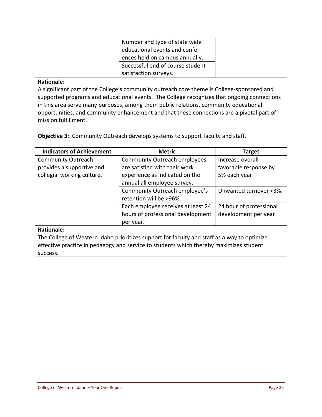| Number and type of state wide<br>educational events and confer-<br>ences held on campus annually.<br>Successful end of course student<br>satisfaction surveys. |  |
|----------------------------------------------------------------------------------------------------------------------------------------------------------------|--|
|                                                                                                                                                                |  |

#### **Rationale:**

A significant part of the College's community outreach core theme is College‐sponsored and supported programs and educational events. The College recognizes that ongoing connections in this area serve many purposes, among them public relations, community educational opportunities, and community enhancement and that these connections are a pivotal part of mission fulfillment.

**Objective 3: Community Outreach develops systems to support faculty and staff.** 

| <b>Indicators of Achievement</b>                                                            | <b>Metric</b>                       | <b>Target</b>           |  |  |  |  |  |  |  |  |
|---------------------------------------------------------------------------------------------|-------------------------------------|-------------------------|--|--|--|--|--|--|--|--|
| <b>Community Outreach</b>                                                                   | <b>Community Outreach employees</b> | Increase overall        |  |  |  |  |  |  |  |  |
| provides a supportive and                                                                   | are satisfied with their work       | favorable response by   |  |  |  |  |  |  |  |  |
| collegial working culture.                                                                  | experience as indicated on the      | 5% each year            |  |  |  |  |  |  |  |  |
|                                                                                             | annual all employee survey.         |                         |  |  |  |  |  |  |  |  |
|                                                                                             | Community Outreach employee's       | Unwanted turnover <3%.  |  |  |  |  |  |  |  |  |
|                                                                                             | retention will be >96%.             |                         |  |  |  |  |  |  |  |  |
|                                                                                             | Each employee receives at least 24  | 24 hour of professional |  |  |  |  |  |  |  |  |
|                                                                                             | hours of professional development   | development per year    |  |  |  |  |  |  |  |  |
|                                                                                             | per year.                           |                         |  |  |  |  |  |  |  |  |
| <b>Rationale:</b>                                                                           |                                     |                         |  |  |  |  |  |  |  |  |
| The College of Western Idaho prioritizes support for faculty and staff as a way to optimize |                                     |                         |  |  |  |  |  |  |  |  |

effective practice in pedagogy and service to students which thereby maximizes student success.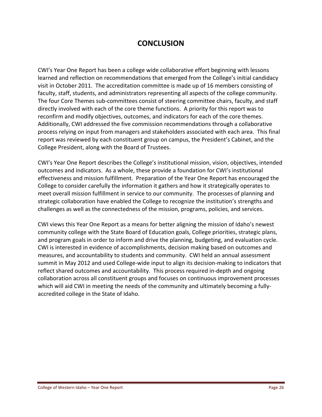# **CONCLUSION**

CWI's Year One Report has been a college wide collaborative effort beginning with lessons learned and reflection on recommendations that emerged from the College's initial candidacy visit in October 2011. The accreditation committee is made up of 16 members consisting of faculty, staff, students, and administrators representing all aspects of the college community. The four Core Themes sub-committees consist of steering committee chairs, faculty, and staff directly involved with each of the core theme functions. A priority for this report was to reconfirm and modify objectives, outcomes, and indicators for each of the core themes. Additionally, CWI addressed the five commission recommendations through a collaborative process relying on input from managers and stakeholders associated with each area. This final report was reviewed by each constituent group on campus, the President's Cabinet, and the College President, along with the Board of Trustees.

CWI's Year One Report describes the College's institutional mission, vision, objectives, intended outcomes and indicators. As a whole, these provide a foundation for CWI's institutional effectiveness and mission fulfillment. Preparation of the Year One Report has encouraged the College to consider carefully the information it gathers and how it strategically operates to meet overall mission fulfillment in service to our community. The processes of planning and strategic collaboration have enabled the College to recognize the institution's strengths and challenges as well as the connectedness of the mission, programs, policies, and services.

CWI views this Year One Report as a means for better aligning the mission of Idaho's newest community college with the State Board of Education goals, College priorities, strategic plans, and program goals in order to inform and drive the planning, budgeting, and evaluation cycle. CWI is interested in evidence of accomplishments, decision making based on outcomes and measures, and accountability to students and community. CWI held an annual assessment summit in May 2012 and used College-wide input to align its decision-making to indicators that reflect shared outcomes and accountability. This process required in‐depth and ongoing collaboration across all constituent groups and focuses on continuous improvement processes which will aid CWI in meeting the needs of the community and ultimately becoming a fullyaccredited college in the State of Idaho.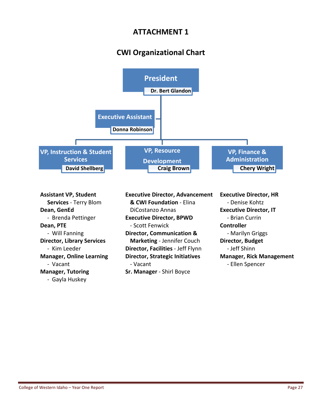# **ATTACHMENT 1**

# **CWI Organizational Chart**



‐ Gayla Huskey

‐ Brenda Pettinger **Executive Director, BPWD**  ‐ Brian Currin **Dean, PTE BI CONTROLLER EXAMPLE <b>CONTROLLER CONTROLLER CONTROLLER** ‐ Will Fanning **Director, Communication &**  ‐ Marilyn Griggs **Director, Library Services Marketing** ‐ Jennifer Couch **Director, Budget** ‐ Kim Leeder **Director, Facilities** ‐ Jeff Flynn ‐ Jeff Shinn **Manager, Online Learning Director, Strategic Initiatives Manager, Rick Management** ‐ Vacant ‐ Vacant ‐ Ellen Spencer **Manager, Tutoring Sr. Manager** ‐ Shirl Boyce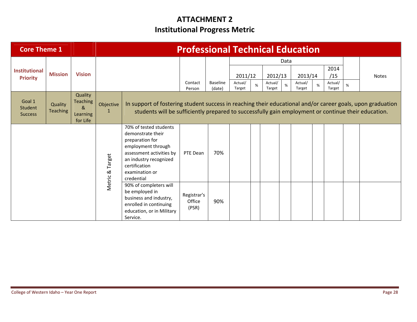# **ATTACHMENT 2 Institutional Progress Metric**

| <b>Core Theme 1</b>                     |                            |                                                                   |                           |                                                                                                                                                                                                                   | <b>Professional Technical Education</b> |                    |                   |   |                   |      |                   |   |                   |      |              |
|-----------------------------------------|----------------------------|-------------------------------------------------------------------|---------------------------|-------------------------------------------------------------------------------------------------------------------------------------------------------------------------------------------------------------------|-----------------------------------------|--------------------|-------------------|---|-------------------|------|-------------------|---|-------------------|------|--------------|
|                                         |                            |                                                                   |                           |                                                                                                                                                                                                                   |                                         |                    |                   |   |                   | Data |                   |   |                   |      |              |
| <b>Institutional</b><br><b>Priority</b> | <b>Mission</b>             | <b>Vision</b>                                                     |                           |                                                                                                                                                                                                                   |                                         |                    | 2011/12           |   | 2012/13           |      | 2013/14           |   | 2014<br>/15       |      | <b>Notes</b> |
|                                         |                            |                                                                   |                           |                                                                                                                                                                                                                   | Contact<br>Person                       | Baseline<br>(date) | Actual/<br>Target | % | Actual/<br>Target | $\%$ | Actual/<br>Target | % | Actual/<br>Target | $\%$ |              |
| Goal 1<br>Student<br><b>Success</b>     | Quality<br><b>Teaching</b> | Quality<br><b>Teaching</b><br>$\&$<br><b>Learning</b><br>for Life | Objective<br>$\mathbf{1}$ | In support of fostering student success in reaching their educational and/or career goals, upon graduation<br>students will be sufficiently prepared to successfully gain employment or continue their education. |                                         |                    |                   |   |                   |      |                   |   |                   |      |              |
|                                         |                            |                                                                   | Target<br>ಹ               | 70% of tested students<br>demonstrate their<br>preparation for<br>employment through<br>assessment activities by<br>an industry recognized<br>certification<br>examination or<br>credential                       | PTE Dean                                | 70%                |                   |   |                   |      |                   |   |                   |      |              |
|                                         |                            |                                                                   | Metric <sub>4</sub>       | 90% of completers will<br>be employed in<br>business and industry,<br>enrolled in continuing<br>education, or in Military<br>Service.                                                                             | Registrar's<br>Office<br>(PSR)          | 90%                |                   |   |                   |      |                   |   |                   |      |              |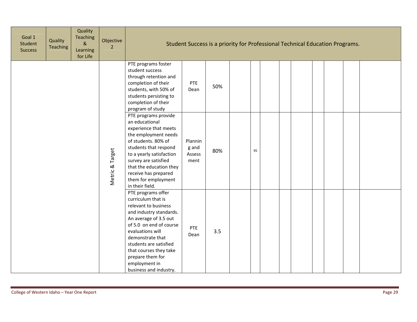| Goal 1<br>Student<br><b>Success</b> | Quality<br><b>Teaching</b> | Quality<br>Teaching<br>$\&$<br>Learning<br>for Life | Objective<br>$\overline{2}$ |                                                                                                                                                                                                                                                                                                            | Student Success is a priority for Professional Technical Education Programs. |     |  |    |  |  |  |  |  |  |  |
|-------------------------------------|----------------------------|-----------------------------------------------------|-----------------------------|------------------------------------------------------------------------------------------------------------------------------------------------------------------------------------------------------------------------------------------------------------------------------------------------------------|------------------------------------------------------------------------------|-----|--|----|--|--|--|--|--|--|--|
|                                     |                            |                                                     |                             | PTE programs foster<br>student success<br>through retention and<br>completion of their<br>students, with 50% of<br>students persisting to<br>completion of their<br>program of study                                                                                                                       | PTE<br>Dean                                                                  | 50% |  |    |  |  |  |  |  |  |  |
|                                     |                            |                                                     | Metric & Target             | PTE programs provide<br>an educational<br>experience that meets<br>the employment needs<br>of students. 80% of<br>students that respond<br>to a yearly satisfaction<br>survey are satisfied<br>that the education they<br>receive has prepared<br>them for employment<br>in their field.                   | Plannin<br>g and<br>Assess<br>ment                                           | 80% |  | 95 |  |  |  |  |  |  |  |
|                                     |                            |                                                     |                             | PTE programs offer<br>curriculum that is<br>relevant to business<br>and industry standards.<br>An average of 3.5 out<br>of 5.0 on end of course<br>evaluations will<br>demonstrate that<br>students are satisfied<br>that courses they take<br>prepare them for<br>employment in<br>business and industry. | PTE<br>Dean                                                                  | 3.5 |  |    |  |  |  |  |  |  |  |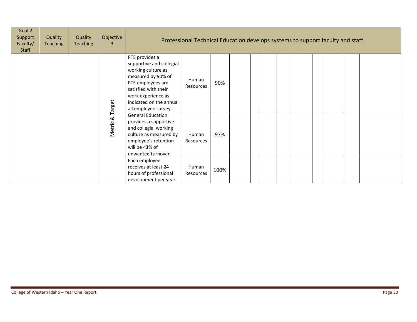| Goal 2<br>Support<br>Faculty/<br><b>Staff</b> | Quality<br>Teaching | Quality<br><b>Teaching</b> | Objective<br>3 |                                                                                                                                                                                                                                                                 | Professional Technical Education develops systems to support faculty and staff. |             |  |  |  |  |  |  |  |  |  |
|-----------------------------------------------|---------------------|----------------------------|----------------|-----------------------------------------------------------------------------------------------------------------------------------------------------------------------------------------------------------------------------------------------------------------|---------------------------------------------------------------------------------|-------------|--|--|--|--|--|--|--|--|--|
|                                               |                     |                            | Target         | PTE provides a<br>supportive and collegial<br>working culture as<br>measured by 90% of<br>PTE employees are<br>satisfied with their<br>work experience as<br>indicated on the annual<br>all employee survey.                                                    | Human<br>Resources                                                              | 90%         |  |  |  |  |  |  |  |  |  |
|                                               |                     |                            | ಹ<br>Metric    | <b>General Education</b><br>provides a supportive<br>and collegial working<br>culture as measured by<br>employee's retention<br>will be <3% of<br>unwanted turnover.<br>Each employee<br>receives at least 24<br>hours of professional<br>development per year. | Human<br>Resources<br>Human<br>Resources                                        | 97%<br>100% |  |  |  |  |  |  |  |  |  |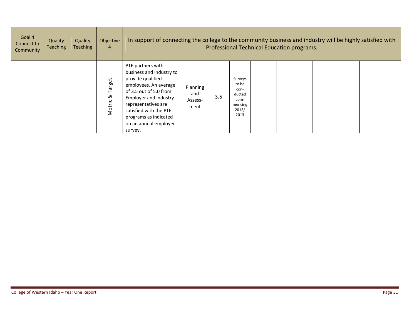| Goal 4<br>Connect to<br>Community | Quality<br><b>Teaching</b> | Quality<br><b>Teaching</b> | Objective<br>4        |                                                                                                                                                                                                                                                                     | In support of connecting the college to the community business and industry will be highly satisfied with<br>Professional Technical Education programs. |     |                                                                        |  |  |  |  |  |  |  |  |  |
|-----------------------------------|----------------------------|----------------------------|-----------------------|---------------------------------------------------------------------------------------------------------------------------------------------------------------------------------------------------------------------------------------------------------------------|---------------------------------------------------------------------------------------------------------------------------------------------------------|-----|------------------------------------------------------------------------|--|--|--|--|--|--|--|--|--|
|                                   |                            |                            | Target<br>ಹ<br>Metric | PTE partners with<br>business and industry to<br>provide qualified<br>employees. An average<br>of 3.5 out of 5.0 from<br><b>Employer and industry</b><br>representatives are<br>satisfied with the PTE<br>programs as indicated<br>on an annual employer<br>survey. | Planning<br>and<br>Assess-<br>ment                                                                                                                      | 3.5 | Surveys<br>to be<br>con-<br>ducted<br>com-<br>mencing<br>2012/<br>2013 |  |  |  |  |  |  |  |  |  |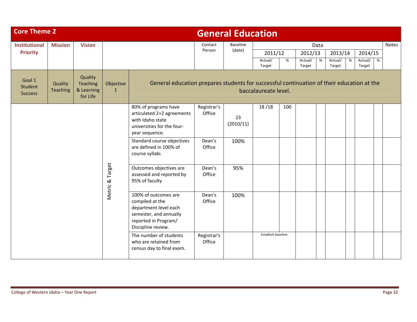| <b>Core Theme 2</b>                 |                            |                                                      |                                                                                                                                          |                                                                                                                        |                                                                                                                   | <b>General Education</b> |                    |     |                   |      |                   |   |                   |   |              |
|-------------------------------------|----------------------------|------------------------------------------------------|------------------------------------------------------------------------------------------------------------------------------------------|------------------------------------------------------------------------------------------------------------------------|-------------------------------------------------------------------------------------------------------------------|--------------------------|--------------------|-----|-------------------|------|-------------------|---|-------------------|---|--------------|
| <b>Institutional</b>                | <b>Mission</b>             | <b>Vision</b>                                        |                                                                                                                                          |                                                                                                                        | Contact                                                                                                           | Baseline                 |                    |     |                   | Data |                   |   |                   |   | <b>Notes</b> |
| <b>Priority</b>                     |                            |                                                      |                                                                                                                                          |                                                                                                                        | Person                                                                                                            | (date)                   | 2011/12            |     | 2012/13           |      | 2013/14           |   | 2014/15           |   |              |
|                                     |                            |                                                      |                                                                                                                                          |                                                                                                                        |                                                                                                                   |                          | Actual/<br>Target  | %   | Actual/<br>Target | %    | Actual/<br>Target | % | Actual/<br>Target | % |              |
| Goal 1<br>Student<br><b>Success</b> | Quality<br><b>Teaching</b> | Quality<br><b>Teaching</b><br>& Learning<br>for Life | Objective<br>$\mathbf{1}$                                                                                                                |                                                                                                                        | General education prepares students for successful continuation of their education at the<br>baccalaureate level. |                          |                    |     |                   |      |                   |   |                   |   |              |
|                                     |                            |                                                      |                                                                                                                                          | 80% of programs have<br>articulated 2+2 agreements<br>with Idaho state<br>universities for the four-<br>year sequence. | Registrar's<br>Office                                                                                             | 23<br>(2010/11)          | 18/18              | 100 |                   |      |                   |   |                   |   |              |
|                                     |                            |                                                      |                                                                                                                                          | Standard course objectives<br>are defined in 100% of<br>course syllabi.                                                | Dean's<br>Office                                                                                                  | 100%                     |                    |     |                   |      |                   |   |                   |   |              |
|                                     |                            |                                                      | Metric & Target                                                                                                                          | Outcomes objectives are<br>assessed and reported by<br>95% of faculty                                                  | Dean's<br>Office                                                                                                  | 95%                      |                    |     |                   |      |                   |   |                   |   |              |
|                                     |                            |                                                      | 100% of outcomes are<br>compiled at the<br>department level each<br>semester, and annually<br>reported in Program/<br>Discipline review. | Dean's<br>Office                                                                                                       | 100%                                                                                                              |                          |                    |     |                   |      |                   |   |                   |   |              |
|                                     |                            |                                                      |                                                                                                                                          | The number of students<br>who are retained from<br>census day to final exam.                                           | Registrar's<br>Office                                                                                             |                          | Establish baseline |     |                   |      |                   |   |                   |   |              |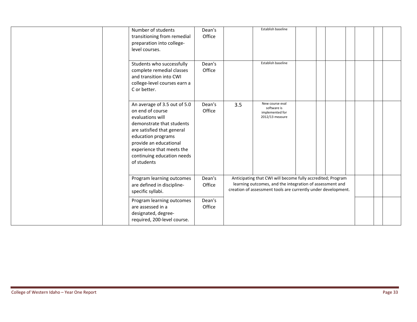| Number of students<br>transitioning from remedial<br>preparation into college-<br>level courses.                                                                                                                                                          | Dean's<br>Office |     | Establish baseline                                                                                                                                                                       |  |  |  |
|-----------------------------------------------------------------------------------------------------------------------------------------------------------------------------------------------------------------------------------------------------------|------------------|-----|------------------------------------------------------------------------------------------------------------------------------------------------------------------------------------------|--|--|--|
| Students who successfully<br>complete remedial classes<br>and transition into CWI<br>college-level courses earn a<br>C or better.                                                                                                                         | Dean's<br>Office |     | Establish baseline                                                                                                                                                                       |  |  |  |
| An average of 3.5 out of 5.0<br>on end of course<br>evaluations will<br>demonstrate that students<br>are satisfied that general<br>education programs<br>provide an educational<br>experience that meets the<br>continuing education needs<br>of students | Dean's<br>Office | 3.5 | New course eval<br>software is<br>implemented for<br>2012/13 measure                                                                                                                     |  |  |  |
| Program learning outcomes<br>are defined in discipline-<br>specific syllabi.                                                                                                                                                                              | Dean's<br>Office |     | Anticipating that CWI will become fully accredited; Program<br>learning outcomes, and the integration of assessment and<br>creation of assessment tools are currently under development. |  |  |  |
| Program learning outcomes<br>are assessed in a<br>designated, degree-<br>required, 200-level course.                                                                                                                                                      | Dean's<br>Office |     |                                                                                                                                                                                          |  |  |  |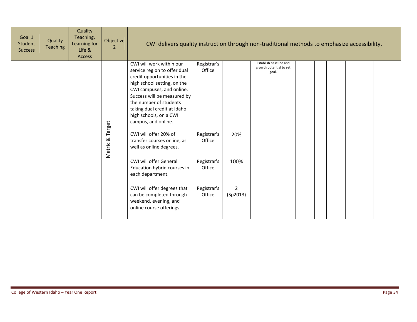| Goal 1<br><b>Student</b><br><b>Success</b> | Quality<br><b>Teaching</b> | Quality<br>Teaching,<br>Learning for<br>Life &<br><b>Access</b> | Objective<br>$\overline{2}$                                                                                                                                                                                                                                                                  | CWI delivers quality instruction through non-traditional methods to emphasize accessibility.<br>Establish baseline and<br>Registrar's |                       |                                  |  |  |  |  |  |  |  |  |
|--------------------------------------------|----------------------------|-----------------------------------------------------------------|----------------------------------------------------------------------------------------------------------------------------------------------------------------------------------------------------------------------------------------------------------------------------------------------|---------------------------------------------------------------------------------------------------------------------------------------|-----------------------|----------------------------------|--|--|--|--|--|--|--|--|
|                                            |                            | Target                                                          | CWI will work within our<br>service region to offer dual<br>credit opportunities in the<br>high school setting, on the<br>CWI campuses, and online.<br>Success will be measured by<br>the number of students<br>taking dual credit at Idaho<br>high schools, on a CWI<br>campus, and online. | Office                                                                                                                                |                       | growth potential to set<br>goal. |  |  |  |  |  |  |  |  |
|                                            |                            | Metric &                                                        | CWI will offer 20% of<br>transfer courses online, as<br>well as online degrees.                                                                                                                                                                                                              | Registrar's<br>Office                                                                                                                 | 20%                   |                                  |  |  |  |  |  |  |  |  |
|                                            |                            |                                                                 |                                                                                                                                                                                                                                                                                              | CWI will offer General<br>Education hybrid courses in<br>each department.                                                             | Registrar's<br>Office | 100%                             |  |  |  |  |  |  |  |  |
|                                            |                            |                                                                 |                                                                                                                                                                                                                                                                                              | CWI will offer degrees that<br>can be completed through<br>weekend, evening, and<br>online course offerings.                          | Registrar's<br>Office | $\overline{2}$<br>(Sp2013)       |  |  |  |  |  |  |  |  |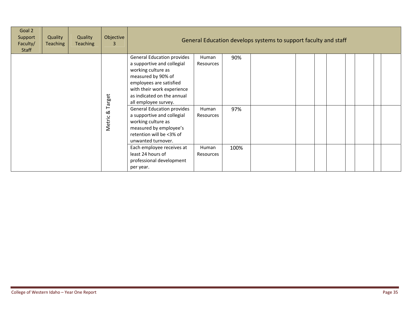| Goal 2<br>Support<br>Faculty/<br>Staff | Quality<br><b>Teaching</b> | Quality<br><b>Teaching</b> | Objective<br>3     |                                                                                                                                                                                                                                                              | General Education develops systems to support faculty and staff |             |  |  |  |  |  |  |  |  |
|----------------------------------------|----------------------------|----------------------------|--------------------|--------------------------------------------------------------------------------------------------------------------------------------------------------------------------------------------------------------------------------------------------------------|-----------------------------------------------------------------|-------------|--|--|--|--|--|--|--|--|
|                                        |                            |                            | Target             | <b>General Education provides</b><br>a supportive and collegial<br>working culture as<br>measured by 90% of<br>employees are satisfied<br>with their work experience<br>as indicated on the annual<br>all employee survey.                                   | Human<br>Resources                                              | 90%         |  |  |  |  |  |  |  |  |
|                                        |                            |                            | $\infty$<br>Metric | <b>General Education provides</b><br>a supportive and collegial<br>working culture as<br>measured by employee's<br>retention will be <3% of<br>unwanted turnover.<br>Each employee receives at<br>least 24 hours of<br>professional development<br>per year. | Human<br>Resources<br>Human<br>Resources                        | 97%<br>100% |  |  |  |  |  |  |  |  |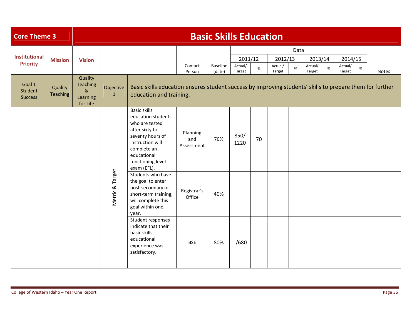| <b>Core Theme 3</b>                 |                     |                                                                                                            |                                                                                                                                       |                                                                                                                                                                                         |                               | <b>Basic Skills Education</b> |                   |      |                   |      |                   |   |                   |   |              |
|-------------------------------------|---------------------|------------------------------------------------------------------------------------------------------------|---------------------------------------------------------------------------------------------------------------------------------------|-----------------------------------------------------------------------------------------------------------------------------------------------------------------------------------------|-------------------------------|-------------------------------|-------------------|------|-------------------|------|-------------------|---|-------------------|---|--------------|
| <b>Institutional</b>                | <b>Mission</b>      | <b>Vision</b>                                                                                              |                                                                                                                                       |                                                                                                                                                                                         |                               |                               | 2011/12           |      | 2012/13           | Data | 2013/14           |   | 2014/15           |   |              |
| <b>Priority</b>                     |                     |                                                                                                            |                                                                                                                                       |                                                                                                                                                                                         | Contact<br>Person             | Baseline<br>(date)            | Actual/<br>Target | $\%$ | Actual/<br>Target | %    | Actual/<br>Target | % | Actual/<br>Target | % | <b>Notes</b> |
| Goal 1<br>Student<br><b>Success</b> | Quality<br>Teaching | Quality<br><b>Teaching</b><br>$\boldsymbol{\alpha}$<br>Learning<br>for Life                                | Objective<br>$\mathbf{1}$                                                                                                             | Basic skills education ensures student success by improving students' skills to prepare them for further<br>education and training.                                                     |                               |                               |                   |      |                   |      |                   |   |                   |   |              |
|                                     |                     |                                                                                                            |                                                                                                                                       | <b>Basic skills</b><br>education students<br>who are tested<br>after sixty to<br>seventy hours of<br>instruction will<br>complete an<br>educational<br>functioning level<br>exam (EFL). | Planning<br>and<br>Assessment | 70%                           | 850/<br>1220      | 70   |                   |      |                   |   |                   |   |              |
|                                     |                     | Metric & Target                                                                                            | Students who have<br>the goal to enter<br>post-secondary or<br>short-term training,<br>will complete this<br>goal within one<br>year. | Registrar's<br>Office                                                                                                                                                                   | 40%                           |                               |                   |      |                   |      |                   |   |                   |   |              |
|                                     |                     | Student responses<br>indicate that their<br>basic skills<br>educational<br>experience was<br>satisfactory. | <b>BSE</b>                                                                                                                            | 80%                                                                                                                                                                                     | /680                          |                               |                   |      |                   |      |                   |   |                   |   |              |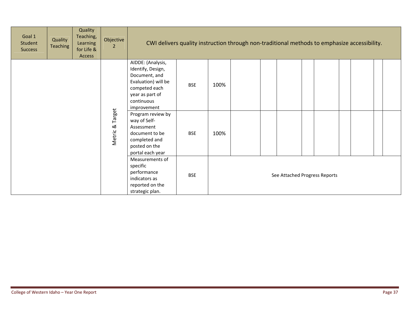| Goal 1<br>Student<br>Success | Quality<br><b>Teaching</b> | Quality<br>Teaching,<br>Learning<br>for Life &<br>Access | Objective<br>2  |                                                                                                                                                 | CWI delivers quality instruction through non-traditional methods to emphasize accessibility. |      |  |  |                               |  |  |  |  |  |  |
|------------------------------|----------------------------|----------------------------------------------------------|-----------------|-------------------------------------------------------------------------------------------------------------------------------------------------|----------------------------------------------------------------------------------------------|------|--|--|-------------------------------|--|--|--|--|--|--|
|                              |                            |                                                          |                 | AIDDE: (Analysis,<br>Identify, Design,<br>Document, and<br>Evaluation) will be<br>competed each<br>year as part of<br>continuous<br>improvement | <b>BSE</b>                                                                                   | 100% |  |  |                               |  |  |  |  |  |  |
|                              |                            |                                                          | Metric & Target | Program review by<br>way of Self-<br>Assessment<br>document to be<br>completed and<br>posted on the<br>portal each year                         | <b>BSE</b>                                                                                   | 100% |  |  |                               |  |  |  |  |  |  |
|                              |                            |                                                          |                 | Measurements of<br>specific<br>performance<br>indicators as<br>reported on the<br>strategic plan.                                               | <b>BSE</b>                                                                                   |      |  |  | See Attached Progress Reports |  |  |  |  |  |  |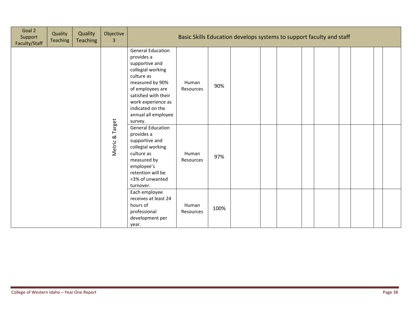| Goal 2<br>Support<br>Faculty/Staff | Quality<br><b>Teaching</b> | Quality<br><b>Teaching</b> | Objective<br>3                                                                                                                                                                |                                                                                                                                                                                                                                        | Basic Skills Education develops systems to support faculty and staff |      |  |  |  |  |  |
|------------------------------------|----------------------------|----------------------------|-------------------------------------------------------------------------------------------------------------------------------------------------------------------------------|----------------------------------------------------------------------------------------------------------------------------------------------------------------------------------------------------------------------------------------|----------------------------------------------------------------------|------|--|--|--|--|--|
|                                    |                            |                            |                                                                                                                                                                               | <b>General Education</b><br>provides a<br>supportive and<br>collegial working<br>culture as<br>measured by 90%<br>of employees are<br>satisfied with their<br>work experience as<br>indicated on the<br>annual all employee<br>survey. | Human<br>Resources                                                   | 90%  |  |  |  |  |  |
|                                    |                            | Metric & Target            | <b>General Education</b><br>provides a<br>supportive and<br>collegial working<br>culture as<br>measured by<br>employee's<br>retention will be<br><3% of unwanted<br>turnover. | Human<br>Resources                                                                                                                                                                                                                     | 97%                                                                  |      |  |  |  |  |  |
|                                    |                            |                            |                                                                                                                                                                               | Each employee<br>receives at least 24<br>hours of<br>professional<br>development per<br>year.                                                                                                                                          | Human<br>Resources                                                   | 100% |  |  |  |  |  |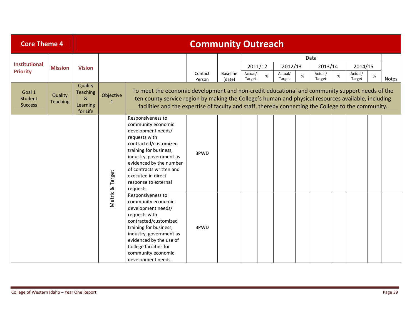| <b>Core Theme 4</b>                 |                     |                                                            |                           |                                                                                                                                                                                                                                                                                                              | <b>Community Outreach</b> |          |                    |              |              |                    |      |                    |      |       |
|-------------------------------------|---------------------|------------------------------------------------------------|---------------------------|--------------------------------------------------------------------------------------------------------------------------------------------------------------------------------------------------------------------------------------------------------------------------------------------------------------|---------------------------|----------|--------------------|--------------|--------------|--------------------|------|--------------------|------|-------|
| <b>Institutional</b>                |                     |                                                            |                           |                                                                                                                                                                                                                                                                                                              |                           |          |                    |              |              | Data               |      |                    |      |       |
| <b>Priority</b>                     | <b>Mission</b>      | <b>Vision</b>                                              |                           |                                                                                                                                                                                                                                                                                                              | Contact                   | Baseline | 2011/12<br>Actual/ | Actual/<br>% | 2012/13<br>% | 2013/14<br>Actual/ | $\%$ | 2014/15<br>Actual/ | $\%$ |       |
| Goal 1<br>Student<br><b>Success</b> | Quality<br>Teaching | Quality<br><b>Teaching</b><br>$\&$<br>Learning<br>for Life | Objective<br>$\mathbf{1}$ | To meet the economic development and non-credit educational and community support needs of the<br>ten county service region by making the College's human and physical resources available, including<br>facilities and the expertise of faculty and staff, thereby connecting the College to the community. | Person                    | (date)   | Target             | Target       |              | Target             |      | Target             |      | Notes |
|                                     |                     |                                                            | Target                    | Responsiveness to<br>community economic<br>development needs/<br>requests with<br>contracted/customized<br>training for business,<br>industry, government as<br>evidenced by the number<br>of contracts written and<br>executed in direct<br>response to external<br>requests.                               | <b>BPWD</b>               |          |                    |              |              |                    |      |                    |      |       |
|                                     |                     |                                                            | Metric &                  | Responsiveness to<br>community economic<br>development needs/<br>requests with<br>contracted/customized<br>training for business,<br>industry, government as<br>evidenced by the use of<br>College facilities for<br>community economic<br>development needs.                                                | <b>BPWD</b>               |          |                    |              |              |                    |      |                    |      |       |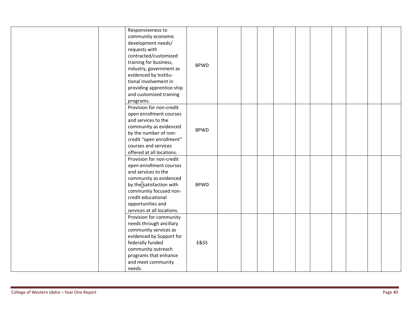| Responsiveness to                     |             |  |  |  |  |  |
|---------------------------------------|-------------|--|--|--|--|--|
| community economic                    |             |  |  |  |  |  |
| development needs/                    |             |  |  |  |  |  |
| requests with                         |             |  |  |  |  |  |
| contracted/customized                 |             |  |  |  |  |  |
| training for business,                | <b>BPWD</b> |  |  |  |  |  |
| industry, government as               |             |  |  |  |  |  |
| evidenced by Institu-                 |             |  |  |  |  |  |
| tional involvement in                 |             |  |  |  |  |  |
| providing apprentice-ship             |             |  |  |  |  |  |
| and customized training               |             |  |  |  |  |  |
| programs.                             |             |  |  |  |  |  |
| Provision for non-credit              |             |  |  |  |  |  |
| open enrollment courses               |             |  |  |  |  |  |
| and services to the                   |             |  |  |  |  |  |
| community as evidenced                | <b>BPWD</b> |  |  |  |  |  |
| by the number of non-                 |             |  |  |  |  |  |
| credit "open enrollment"              |             |  |  |  |  |  |
| courses and services                  |             |  |  |  |  |  |
| offered at all locations.             |             |  |  |  |  |  |
| Provision for non-credit              |             |  |  |  |  |  |
| open enrollment courses               |             |  |  |  |  |  |
| and services to the                   |             |  |  |  |  |  |
| community as evidenced                |             |  |  |  |  |  |
| by the <sup>s</sup> satisfaction with | <b>BPWD</b> |  |  |  |  |  |
| community focused non-                |             |  |  |  |  |  |
| credit educational                    |             |  |  |  |  |  |
| opportunities and                     |             |  |  |  |  |  |
| services at all locations.            |             |  |  |  |  |  |
| Provision for community               |             |  |  |  |  |  |
| needs through ancillary               |             |  |  |  |  |  |
| community services as                 |             |  |  |  |  |  |
| evidenced by Support for              |             |  |  |  |  |  |
| federally funded                      | E&SS        |  |  |  |  |  |
| community outreach                    |             |  |  |  |  |  |
| programs that enhance                 |             |  |  |  |  |  |
| and meet community                    |             |  |  |  |  |  |
| needs.                                |             |  |  |  |  |  |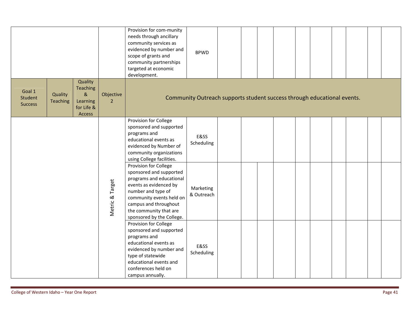|                                     |                            |                                                                        |                             | Provision for com-munity<br>needs through ancillary<br>community services as<br>evidenced by number and<br>scope of grants and<br>community partnerships<br>targeted at economic<br>development.                                         | <b>BPWD</b>                                                             |  |  |  |  |  |
|-------------------------------------|----------------------------|------------------------------------------------------------------------|-----------------------------|------------------------------------------------------------------------------------------------------------------------------------------------------------------------------------------------------------------------------------------|-------------------------------------------------------------------------|--|--|--|--|--|
| Goal 1<br>Student<br><b>Success</b> | Quality<br><b>Teaching</b> | Quality<br><b>Teaching</b><br>$\&$<br>Learning<br>for Life &<br>Access | Objective<br>$\overline{2}$ |                                                                                                                                                                                                                                          | Community Outreach supports student success through educational events. |  |  |  |  |  |
|                                     |                            |                                                                        |                             | Provision for College<br>sponsored and supported<br>programs and<br>educational events as<br>evidenced by Number of<br>community organizations<br>using College facilities.                                                              | E&SS<br>Scheduling                                                      |  |  |  |  |  |
|                                     |                            |                                                                        | Metric & Target             | Provision for College<br>sponsored and supported<br>programs and educational<br>events as evidenced by<br>number and type of<br>community events held on<br>campus and throughout<br>the community that are<br>sponsored by the College. | Marketing<br>& Outreach                                                 |  |  |  |  |  |
|                                     |                            |                                                                        |                             | Provision for College<br>sponsored and supported<br>programs and<br>educational events as<br>evidenced by number and<br>type of statewide<br>educational events and<br>conferences held on<br>campus annually.                           | E&SS<br>Scheduling                                                      |  |  |  |  |  |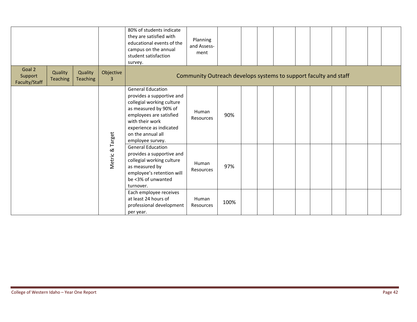|               | Goal 2<br>Quality<br>Quality<br>Support |                 |                             | 80% of students indicate<br>they are satisfied with<br>educational events of the<br>campus on the annual<br>student satisfaction<br>survey.                                                                                   | Planning<br>and Assess-<br>ment                                  |      |  |  |  |  |  |
|---------------|-----------------------------------------|-----------------|-----------------------------|-------------------------------------------------------------------------------------------------------------------------------------------------------------------------------------------------------------------------------|------------------------------------------------------------------|------|--|--|--|--|--|
| Faculty/Staff | <b>Teaching</b>                         | <b>Teaching</b> | Objective<br>$\overline{3}$ |                                                                                                                                                                                                                               | Community Outreach develops systems to support faculty and staff |      |  |  |  |  |  |
|               |                                         |                 |                             | <b>General Education</b><br>provides a supportive and<br>collegial working culture<br>as measured by 90% of<br>employees are satisfied<br>with their work<br>experience as indicated<br>on the annual all<br>employee survey. | Human<br>Resources                                               | 90%  |  |  |  |  |  |
|               |                                         |                 | Metric & Target             | <b>General Education</b><br>provides a supportive and<br>collegial working culture<br>as measured by<br>employee's retention will<br>be <3% of unwanted<br>turnover.                                                          | Human<br>Resources                                               | 97%  |  |  |  |  |  |
|               |                                         |                 |                             | Each employee receives<br>at least 24 hours of<br>professional development<br>per year.                                                                                                                                       | Human<br>Resources                                               | 100% |  |  |  |  |  |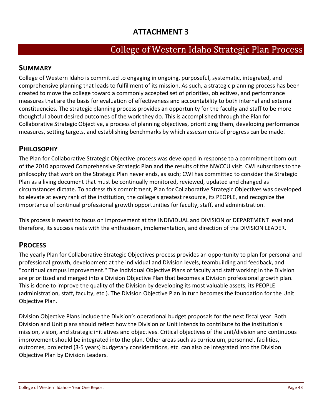# **ATTACHMENT 3**

# College of Western Idaho Strategic Plan Process

## **SUMMARY**

College of Western Idaho is committed to engaging in ongoing, purposeful, systematic, integrated, and comprehensive planning that leads to fulfillment of its mission. As such, a strategic planning process has been created to move the college toward a commonly accepted set of priorities, objectives, and performance measures that are the basis for evaluation of effectiveness and accountability to both internal and external constituencies. The strategic planning process provides an opportunity for the faculty and staff to be more thoughtful about desired outcomes of the work they do. This is accomplished through the Plan for Collaborative Strategic Objective, a process of planning objectives, prioritizing them, developing performance measures, setting targets, and establishing benchmarks by which assessments of progress can be made.

## **PHILOSOPHY**

The Plan for Collaborative Strategic Objective process was developed in response to a commitment born out of the 2010 approved Comprehensive Strategic Plan and the results of the NWCCU visit. CWI subscribes to the philosophy that work on the Strategic Plan never ends, as such; CWI has committed to consider the Strategic Plan as a living document that must be continually monitored, reviewed, updated and changed as circumstances dictate. To address this commitment, Plan for Collaborative Strategic Objectives was developed to elevate at every rank of the institution, the college's greatest resource, its PEOPLE, and recognize the importance of continual professional growth opportunities for faculty, staff, and administration.

This process is meant to focus on improvement at the INDIVIDUAL and DIVISION or DEPARTMENT level and therefore, its success rests with the enthusiasm, implementation, and direction of the DIVISION LEADER.

## **PROCESS**

The yearly Plan for Collaborative Strategic Objectives process provides an opportunity to plan for personal and professional growth, development at the individual and Division levels, teambuilding and feedback, and "continual campus improvement." The Individual Objective Plans of faculty and staff working in the Division are prioritized and merged into a Division Objective Plan that becomes a Division professional growth plan. This is done to improve the quality of the Division by developing its most valuable assets, its PEOPLE (administration, staff, faculty, etc.). The Division Objective Plan in turn becomes the foundation for the Unit Objective Plan.

Division Objective Plans include the Division's operational budget proposals for the next fiscal year. Both Division and Unit plans should reflect how the Division or Unit intends to contribute to the institution's mission, vision, and strategic initiatives and objectives. Critical objectives of the unit/division and continuous improvement should be integrated into the plan. Other areas such as curriculum, personnel, facilities, outcomes, projected (3‐5 years) budgetary considerations, etc. can also be integrated into the Division Objective Plan by Division Leaders.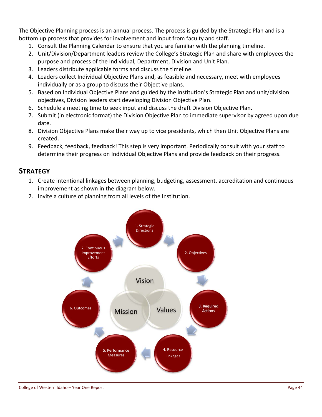The Objective Planning process is an annual process. The process is guided by the Strategic Plan and is a bottom up process that provides for involvement and input from faculty and staff.

- 1. Consult the Planning Calendar to ensure that you are familiar with the planning timeline.
- 2. Unit/Division/Department leaders review the College's Strategic Plan and share with employees the purpose and process of the Individual, Department, Division and Unit Plan.
- 3. Leaders distribute applicable forms and discuss the timeline.
- 4. Leaders collect Individual Objective Plans and, as feasible and necessary, meet with employees individually or as a group to discuss their Objective plans.
- 5. Based on Individual Objective Plans and guided by the institution's Strategic Plan and unit/division objectives, Division leaders start developing Division Objective Plan.
- 6. Schedule a meeting time to seek input and discuss the draft Division Objective Plan.
- 7. Submit (in electronic format) the Division Objective Plan to immediate supervisor by agreed upon due date.
- 8. Division Objective Plans make their way up to vice presidents, which then Unit Objective Plans are created.
- 9. Feedback, feedback, feedback! This step is very important. Periodically consult with your staff to determine their progress on Individual Objective Plans and provide feedback on their progress.

## **STRATEGY**

- 1. Create intentional linkages between planning, budgeting, assessment, accreditation and continuous improvement as shown in the diagram below.
- 2. Invite a culture of planning from all levels of the Institution.

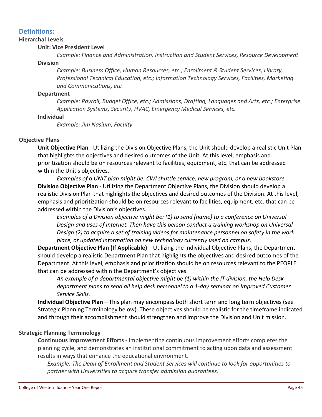#### **Definitions:**

#### **Hierarchal Levels**

#### **Unit: Vice President Level**

*Example: Finance and Administration, Instruction and Student Services, Resource Development* **Division**

*Example: Business Office, Human Resources, etc.; Enrollment & Student Services, Library, Professional Technical Education, etc.; Information Technology Services, Facilities, Marketing and Communications, etc.*

#### **Department**

*Example: Payroll, Budget Office, etc.; Admissions, Drafting, Languages and Arts, etc.; Enterprise Application Systems, Security, HVAC, Emergency Medical Services, etc.*

#### **Individual**

*Example: Jim Nasium, Faculty*

#### **Objective Plans**

**Unit Objective Plan** ‐ Utilizing the Division Objective Plans, the Unit should develop a realistic Unit Plan that highlights the objectives and desired outcomes of the Unit. At this level, emphasis and prioritization should be on resources relevant to facilities, equipment, etc. that can be addressed within the Unit's objectives.

*Examples of a UNIT plan might be: CWI shuttle service, new program, or a new bookstore.*  **Division Objective Plan** ‐ Utilizing the Department Objective Plans, the Division should develop a realistic Division Plan that highlights the objectives and desired outcomes of the Division. At this level, emphasis and prioritization should be on resources relevant to facilities, equipment, etc. that can be addressed within the Division's objectives.

*Examples of a Division objective might be: (1) to send (name) to a conference on Universal Design and uses of Internet. Then have this person conduct a training workshop on Universal Design (2) to acquire a set of training videos for maintenance personnel on safety in the work place, or updated information on new technology currently used on campus.*

**Department Objective Plan (If Applicable)** – Utilizing the Individual Objective Plans, the Department should develop a realistic Department Plan that highlights the objectives and desired outcomes of the Department. At this level, emphasis and prioritization should be on resources relevant to the PEOPLE that can be addressed within the Department's objectives.

*An example of a departmental objective might be (1) within the IT division, the Help Desk department plans to send all help desk personnel to a 1‐day seminar on Improved Customer Service Skills.*

**Individual Objective Plan** – This plan may encompass both short term and long term objectives (see Strategic Planning Terminology below). These objectives should be realistic for the timeframe indicated and through their accomplishment should strengthen and improve the Division and Unit mission.

#### **Strategic Planning Terminology**

**Continuous Improvement Efforts** ‐ Implementing continuous improvement efforts completes the planning cycle, and demonstrates an institutional commitment to acting upon data and assessment results in ways that enhance the educational environment.

*Example: The Dean of Enrollment and Student Services will continue to look for opportunities to partner with Universities to acquire transfer admission guarantees.*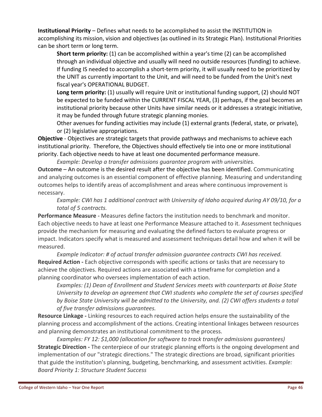**Institutional Priority** – Defines what needs to be accomplished to assist the INSTITUTION in accomplishing its mission, vision and objectives (as outlined in its Strategic Plan). Institutional Priorities can be short term or long term.

**Short term priority:** (1) can be accomplished within a year's time (2) can be accomplished through an individual objective and usually will need no outside resources (funding) to achieve. If funding IS needed to accomplish a short-term priority, it will usually need to be prioritized by the UNIT as currently important to the Unit, and will need to be funded from the Unit's next fiscal year's OPERATIONAL BUDGET.

**Long term priority:** (1) usually will require Unit or institutional funding support, (2) should NOT be expected to be funded within the CURRENT FISCAL YEAR, (3) perhaps, if the goal becomes an institutional priority because other Units have similar needs or it addresses a strategic initiative, it may be funded through future strategic planning monies.

Other avenues for funding activities may include (1) external grants (federal, state, or private), or (2) legislative appropriations.

**Objective** ‐ Objectives are strategic targets that provide pathways and mechanisms to achieve each institutional priority. Therefore, the Objectives should effectively tie into one or more institutional priority. Each objective needs to have at least one documented performance measure.

*Example: Develop a transfer admissions guarantee program with universities.*

**Outcome** – An outcome is the desired result after the objective has been identified. Communicating and analyzing outcomes is an essential component of effective planning. Measuring and understanding outcomes helps to identify areas of accomplishment and areas where continuous improvement is necessary.

*Example: CWI has 1 additional contract with University of Idaho acquired during AY 09/10, for a total of 5 contracts.*

**Performance Measure** ‐ Measures define factors the institution needs to benchmark and monitor. Each objective needs to have at least one Performance Measure attached to it. Assessment techniques provide the mechanism for measuring and evaluating the defined factors to evaluate progress or impact. Indicators specify what is measured and assessment techniques detail how and when it will be measured.

*Example Indicator: # of actual transfer admission guarantee contracts CWI has received.* **Required Action ‐** Each objective corresponds with specific actions or tasks that are necessary to achieve the objectives. Required actions are associated with a timeframe for completion and a planning coordinator who oversees implementation of each action.

*Examples: (1) Dean of Enrollment and Student Services meets with counterparts at Boise State University to develop an agreement that CWI students who complete the set of courses specified by Boise State University will be admitted to the University, and. (2) CWI offers students a total of five transfer admissions guarantees.*

**Resource Linkage ‐** Linking resources to each required action helps ensure the sustainability of the planning process and accomplishment of the actions. Creating intentional linkages between resources and planning demonstrates an institutional commitment to the process.

*Examples: FY 12: \$1,000 (allocation for software to track transfer admissions guarantees)* **Strategic Direction ‐** The centerpiece of our strategic planning efforts is the ongoing development and implementation of our "strategic directions." The strategic directions are broad, significant priorities that guide the institution's planning, budgeting, benchmarking, and assessment activities. *Example: Board Priority 1: Structure Student Success*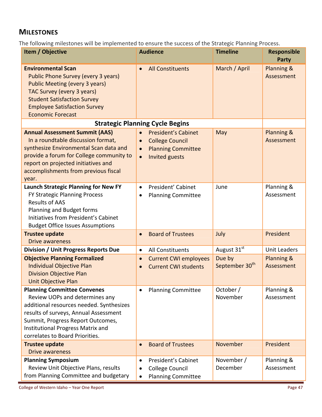## **MILESTONES**

The following milestones will be implemented to ensure the success of the Strategic Planning Process.

| Item / Objective                                                                                                                                                                                                                                                              | <b>Audience</b>                                                                                                                                         | <b>Timeline</b>                      | Responsible<br><b>Party</b> |
|-------------------------------------------------------------------------------------------------------------------------------------------------------------------------------------------------------------------------------------------------------------------------------|---------------------------------------------------------------------------------------------------------------------------------------------------------|--------------------------------------|-----------------------------|
| <b>Environmental Scan</b><br>Public Phone Survey (every 3 years)<br><b>Public Meeting (every 3 years)</b><br>TAC Survey (every 3 years)<br><b>Student Satisfaction Survey</b><br><b>Employee Satisfaction Survey</b><br><b>Economic Forecast</b>                              | <b>All Constituents</b>                                                                                                                                 | March / April                        | Planning &<br>Assessment    |
|                                                                                                                                                                                                                                                                               | <b>Strategic Planning Cycle Begins</b>                                                                                                                  |                                      |                             |
| <b>Annual Assessment Summit (AAS)</b><br>In a roundtable discussion format,<br>synthesize Environmental Scan data and<br>provide a forum for College community to<br>report on projected initiatives and<br>accomplishments from previous fiscal<br>year.                     | <b>President's Cabinet</b><br>$\bullet$<br><b>College Council</b><br>$\bullet$<br><b>Planning Committee</b><br>$\bullet$<br>Invited guests<br>$\bullet$ | May                                  | Planning &<br>Assessment    |
| <b>Launch Strategic Planning for New FY</b><br>FY Strategic Planning Process<br><b>Results of AAS</b><br>Planning and Budget forms<br>Initiatives from President's Cabinet<br><b>Budget Office Issues Assumptions</b>                                                         | President' Cabinet<br>$\bullet$<br><b>Planning Committee</b>                                                                                            | June                                 | Planning &<br>Assessment    |
| <b>Trustee update</b><br><b>Drive awareness</b>                                                                                                                                                                                                                               | <b>Board of Trustees</b><br>$\bullet$                                                                                                                   | July                                 | President                   |
| Division / Unit Progress Reports Due                                                                                                                                                                                                                                          | All Constituents<br>$\bullet$                                                                                                                           | August 31st                          | <b>Unit Leaders</b>         |
| <b>Objective Planning Formalized</b><br><b>Individual Objective Plan</b><br><b>Division Objective Plan</b><br>Unit Objective Plan                                                                                                                                             | <b>Current CWI employees</b><br>$\bullet$<br><b>Current CWI students</b>                                                                                | Due by<br>September 30 <sup>th</sup> | Planning &<br>Assessment    |
| <b>Planning Committee Convenes</b><br>Review UOPs and determines any<br>additional resources needed. Synthesizes<br>results of surveys, Annual Assessment<br>Summit, Progress Report Outcomes,<br><b>Institutional Progress Matrix and</b><br>correlates to Board Priorities. | <b>Planning Committee</b><br>$\bullet$                                                                                                                  | October /<br>November                | Planning &<br>Assessment    |
| <b>Trustee update</b>                                                                                                                                                                                                                                                         | <b>Board of Trustees</b>                                                                                                                                | November                             | President                   |
| <b>Drive awareness</b><br><b>Planning Symposium</b>                                                                                                                                                                                                                           | President's Cabinet<br>$\bullet$                                                                                                                        | November /                           | Planning &                  |
| Review Unit Objective Plans, results<br>from Planning Committee and budgetary                                                                                                                                                                                                 | <b>College Council</b><br><b>Planning Committee</b><br>$\bullet$                                                                                        | December                             | Assessment                  |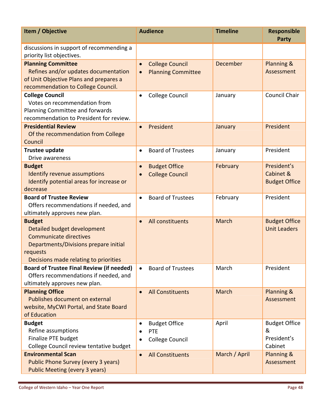| Item / Objective                                                                                                                                                            | <b>Audience</b>                                                               | <b>Timeline</b> | <b>Responsible</b><br><b>Party</b>                  |
|-----------------------------------------------------------------------------------------------------------------------------------------------------------------------------|-------------------------------------------------------------------------------|-----------------|-----------------------------------------------------|
| discussions in support of recommending a<br>priority list objectives.                                                                                                       |                                                                               |                 |                                                     |
| <b>Planning Committee</b><br>Refines and/or updates documentation<br>of Unit Objective Plans and prepares a<br>recommendation to College Council.                           | <b>College Council</b><br>$\bullet$<br><b>Planning Committee</b><br>$\bullet$ | December        | Planning &<br>Assessment                            |
| <b>College Council</b><br>Votes on recommendation from<br>Planning Committee and forwards<br>recommendation to President for review.                                        | <b>College Council</b>                                                        | January         | <b>Council Chair</b>                                |
| <b>Presidential Review</b><br>Of the recommendation from College<br>Council                                                                                                 | President<br>$\bullet$                                                        | January         | President                                           |
| <b>Trustee update</b><br>Drive awareness                                                                                                                                    | <b>Board of Trustees</b><br>$\bullet$                                         | January         | President                                           |
| <b>Budget</b><br><b>Identify revenue assumptions</b><br>Identify potential areas for increase or<br>decrease                                                                | <b>Budget Office</b><br>$\bullet$<br><b>College Council</b>                   | February        | President's<br>Cabinet &<br><b>Budget Office</b>    |
| <b>Board of Trustee Review</b><br>Offers recommendations if needed, and<br>ultimately approves new plan.                                                                    | <b>Board of Trustees</b><br>$\bullet$                                         | February        | President                                           |
| <b>Budget</b><br>Detailed budget development<br><b>Communicate directives</b><br>Departments/Divisions prepare initial<br>requests<br>Decisions made relating to priorities | All constituents<br>$\bullet$                                                 | <b>March</b>    | <b>Budget Office</b><br><b>Unit Leaders</b>         |
| <b>Board of Trustee Final Review (if needed)</b><br>Offers recommendations if needed, and<br>ultimately approves new plan.                                                  | <b>Board of Trustees</b>                                                      | March           | President                                           |
| <b>Planning Office</b><br>Publishes document on external<br>website, MyCWI Portal, and State Board<br>of Education                                                          | <b>All Constituents</b>                                                       | March           | Planning &<br>Assessment                            |
| <b>Budget</b><br>Refine assumptions<br>Finalize PTE budget<br>College Council review tentative budget                                                                       | <b>Budget Office</b><br>PTE<br><b>College Council</b>                         | April           | <b>Budget Office</b><br>&<br>President's<br>Cabinet |
| <b>Environmental Scan</b><br>Public Phone Survey (every 3 years)<br><b>Public Meeting (every 3 years)</b>                                                                   | <b>All Constituents</b><br>$\bullet$                                          | March / April   | Planning &<br>Assessment                            |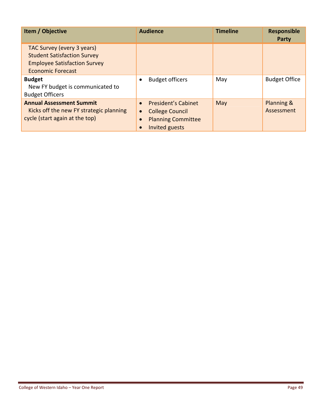| Item / Objective                                                                                                                    | <b>Audience</b>                                                                                                               | <b>Timeline</b> | <b>Responsible</b><br><b>Party</b> |
|-------------------------------------------------------------------------------------------------------------------------------------|-------------------------------------------------------------------------------------------------------------------------------|-----------------|------------------------------------|
| TAC Survey (every 3 years)<br><b>Student Satisfaction Survey</b><br><b>Employee Satisfaction Survey</b><br><b>Economic Forecast</b> |                                                                                                                               |                 |                                    |
| <b>Budget</b><br>New FY budget is communicated to<br><b>Budget Officers</b>                                                         | <b>Budget officers</b>                                                                                                        | May             | <b>Budget Office</b>               |
| <b>Annual Assessment Summit</b><br>Kicks off the new FY strategic planning<br>cycle (start again at the top)                        | <b>President's Cabinet</b><br>$\bullet$<br><b>College Council</b><br>$\bullet$<br><b>Planning Committee</b><br>Invited guests | May             | Planning &<br>Assessment           |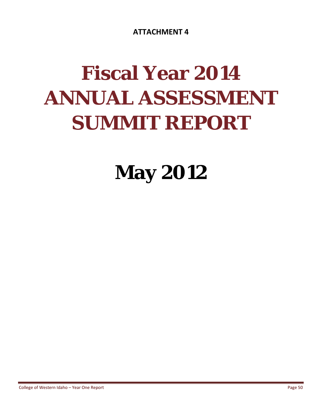**ATTACHMENT 4**

# **Fiscal Year 2014 ANNUAL ASSESSMENT SUMMIT REPORT**

**May 2012**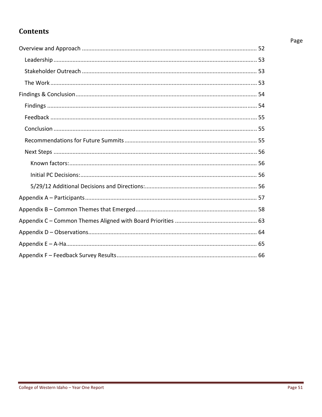# **Contents**

#### Page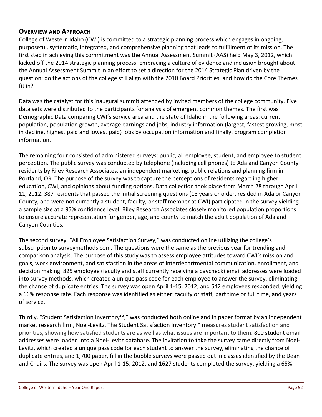#### **OVERVIEW AND APPROACH**

College of Western Idaho (CWI) is committed to a strategic planning process which engages in ongoing, purposeful, systematic, integrated, and comprehensive planning that leads to fulfillment of its mission. The first step in achieving this commitment was the Annual Assessment Summit (AAS) held May 3, 2012, which kicked off the 2014 strategic planning process. Embracing a culture of evidence and inclusion brought about the Annual Assessment Summit in an effort to set a direction for the 2014 Strategic Plan driven by the question: do the actions of the college still align with the 2010 Board Priorities, and how do the Core Themes fit in?

Data was the catalyst for this inaugural summit attended by invited members of the college community. Five data sets were distributed to the participants for analysis of emergent common themes. The first was Demographic Data comparing CWI's service area and the state of Idaho in the following areas: current population, population growth, average earnings and jobs, industry information (largest, fastest growing, most in decline, highest paid and lowest paid) jobs by occupation information and finally, program completion information.

The remaining four consisted of administered surveys: public, all employee, student, and employee to student perception. The public survey was conducted by telephone (including cell phones) to Ada and Canyon County residents by Riley Research Associates, an independent marketing, public relations and planning firm in Portland, OR. The purpose of the survey was to capture the perceptions of residents regarding higher education, CWI, and opinions about funding options. Data collection took place from March 28 through April 11, 2012. 387 residents that passed the initial screening questions (18 years or older, resided in Ada or Canyon County, and were not currently a student, faculty, or staff member at CWI) participated in the survey yielding a sample size at a 95% confidence level. Riley Research Associates closely monitored population proportions to ensure accurate representation for gender, age, and county to match the adult population of Ada and Canyon Counties.

The second survey, "All Employee Satisfaction Survey," was conducted online utilizing the college's subscription to surveymethods.com. The questions were the same as the previous year for trending and comparison analysis. The purpose of this study was to assess employee attitudes toward CWI's mission and goals, work environment, and satisfaction in the areas of interdepartmental communication, enrollment, and decision making. 825 employee (faculty and staff currently receiving a paycheck) email addresses were loaded into survey methods, which created a unique pass code for each employee to answer the survey, eliminating the chance of duplicate entries. The survey was open April 1‐15, 2012, and 542 employees responded, yielding a 66% response rate. Each response was identified as either: faculty or staff, part time or full time, and years of service.

Thirdly, "Student Satisfaction Inventory™," was conducted both online and in paper format by an independent market research firm, Noel‐Levitz. The Student Satisfaction Inventory™ measures student satisfaction and priorities, showing how satisfied students are as well as what issues are important to them. 800 student email addresses were loaded into a Noel‐Levitz database. The invitation to take the survey came directly from Noel‐ Levitz, which created a unique pass code for each student to answer the survey, eliminating the chance of duplicate entries, and 1,700 paper, fill in the bubble surveys were passed out in classes identified by the Dean and Chairs. The survey was open April 1‐15, 2012, and 1627 students completed the survey, yielding a 65%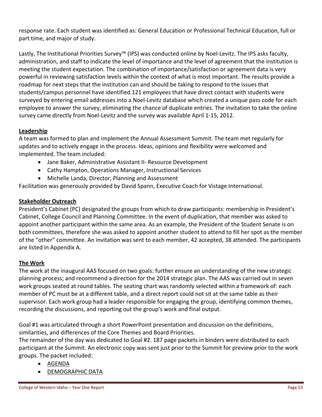response rate. Each student was identified as: General Education or Professional Technical Education, full or part time, and major of study.

Lastly, The Institutional Priorities Survey™ (IPS) was conducted online by Noel‐Levitz. The IPS asks faculty, administration, and staff to indicate the level of importance and the level of agreement that the institution is meeting the student expectation. The combination of importance/satisfaction or agreement data is very powerful in reviewing satisfaction levels within the context of what is most important. The results provide a roadmap for next steps that the institution can and should be taking to respond to the issues that students/campus personnel have identified.121 employees that have direct contact with students were surveyed by entering email addresses into a Noel‐Levitz database which created a unique pass code for each employee to answer the survey, eliminating the chance of duplicate entries. The invitation to take the online survey came directly from Noel‐Levitz and the survey was available April 1‐15, 2012.

#### **Leadership**

A team was formed to plan and implement the Annual Assessment Summit. The team met regularly for updates and to actively engage in the process. Ideas, opinions and flexibility were welcomed and implemented. The team included:

- Jane Baker, Administrative Assistant II- Resource Development
- Cathy Hampton, Operations Manager, Instructional Services
- Michelle Landa, Director, Planning and Assessment

Facilitation was generously provided by David Spann, Executive Coach for Vistage International.

#### **Stakeholder Outreach**

President's Cabinet (PC) designated the groups from which to draw participants: membership in President's Cabinet, College Council and Planning Committee. In the event of duplication, that member was asked to appoint another participant within the same area. As an example, the President of the Student Senate is on both committees, therefore she was asked to appoint another student to attend to fill her spot as the member of the "other" committee. An invitation was sent to each member, 42 accepted, 38 attended. The participants are listed in Appendix A.

#### **The Work**

The work at the inaugural AAS focused on two goals: further ensure an understanding of the new strategic planning process; and recommend a direction for the 2014 strategic plan. The AAS was carried out in seven work groups seated at round tables. The seating chart was randomly selected within a framework of: each member of PC must be at a different table, and a direct report could not sit at the same table as their supervisor. Each work group had a leader responsible for engaging the group, identifying common themes, recording the discussions, and reporting out the group's work and final output.

Goal #1 was articulated through a short PowerPoint presentation and discussion on the definitions, similarities, and differences of the Core Themes and Board Priorities.

The remainder of the day was dedicated to Goal #2. 187 page packets in binders were distributed to each participant at the Summit. An electronic copy was sent just prior to the Summit for preview prior to the work groups. The packet included:

- AGENDA
- DEMOGRAPHIC DATA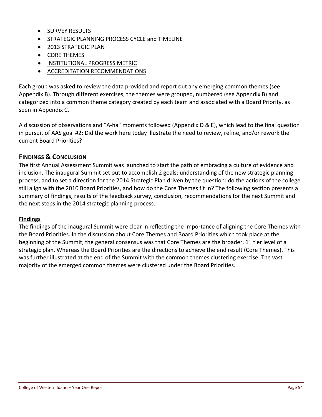- **•** SURVEY RESULTS
- **STRATEGIC PLANNING PROCESS CYCLE and TIMELINE**
- 2013 STRATEGIC PLAN
- CORE THEMES
- **INSTITUTIONAL PROGRESS METRIC**
- **ACCREDITATION RECOMMENDATIONS**

Each group was asked to review the data provided and report out any emerging common themes (see Appendix B). Through different exercises, the themes were grouped, numbered (see Appendix B) and categorized into a common theme category created by each team and associated with a Board Priority, as seen in Appendix C.

A discussion of observations and "A‐ha" moments followed (Appendix D & E), which lead to the final question in pursuit of AAS goal #2: Did the work here today illustrate the need to review, refine, and/or rework the current Board Priorities?

#### **FINDINGS & CONCLUSION**

The first Annual Assessment Summit was launched to start the path of embracing a culture of evidence and inclusion. The inaugural Summit set out to accomplish 2 goals: understanding of the new strategic planning process, and to set a direction for the 2014 Strategic Plan driven by the question: do the actions of the college still align with the 2010 Board Priorities, and how do the Core Themes fit in? The following section presents a summary of findings, results of the feedback survey, conclusion, recommendations for the next Summit and the next steps in the 2014 strategic planning process.

#### **Findings**

The findings of the inaugural Summit were clear in reflecting the importance of aligning the Core Themes with the Board Priorities. In the discussion about Core Themes and Board Priorities which took place at the beginning of the Summit, the general consensus was that Core Themes are the broader,  $1<sup>st</sup>$  tier level of a strategic plan. Whereas the Board Priorities are the directions to achieve the end result (Core Themes). This was further illustrated at the end of the Summit with the common themes clustering exercise. The vast majority of the emerged common themes were clustered under the Board Priorities.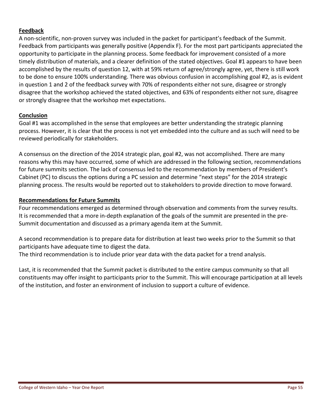#### **Feedback**

A non‐scientific, non‐proven survey was included in the packet for participant's feedback of the Summit. Feedback from participants was generally positive (Appendix F). For the most part participants appreciated the opportunity to participate in the planning process. Some feedback for improvement consisted of a more timely distribution of materials, and a clearer definition of the stated objectives. Goal #1 appears to have been accomplished by the results of question 12, with at 59% return of agree/strongly agree, yet, there is still work to be done to ensure 100% understanding. There was obvious confusion in accomplishing goal #2, as is evident in question 1 and 2 of the feedback survey with 70% of respondents either not sure, disagree or strongly disagree that the workshop achieved the stated objectives, and 63% of respondents either not sure, disagree or strongly disagree that the workshop met expectations.

#### **Conclusion**

Goal #1 was accomplished in the sense that employees are better understanding the strategic planning process. However, it is clear that the process is not yet embedded into the culture and as such will need to be reviewed periodically for stakeholders.

A consensus on the direction of the 2014 strategic plan, goal #2, was not accomplished. There are many reasons why this may have occurred, some of which are addressed in the following section, recommendations for future summits section. The lack of consensus led to the recommendation by members of President's Cabinet (PC) to discuss the options during a PC session and determine "next steps" for the 2014 strategic planning process. The results would be reported out to stakeholders to provide direction to move forward.

#### **Recommendations for Future Summits**

Four recommendations emerged as determined through observation and comments from the survey results. It is recommended that a more in‐depth explanation of the goals of the summit are presented in the pre‐ Summit documentation and discussed as a primary agenda item at the Summit.

A second recommendation is to prepare data for distribution at least two weeks prior to the Summit so that participants have adequate time to digest the data.

The third recommendation is to include prior year data with the data packet for a trend analysis.

Last, it is recommended that the Summit packet is distributed to the entire campus community so that all constituents may offer insight to participants prior to the Summit. This will encourage participation at all levels of the institution, and foster an environment of inclusion to support a culture of evidence.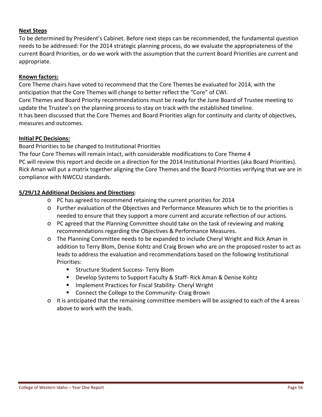#### **Next Steps**

To be determined by President's Cabinet. Before next steps can be recommended, the fundamental question needs to be addressed: For the 2014 strategic planning process, do we evaluate the appropriateness of the current Board Priorities, or do we work with the assumption that the current Board Priorities are current and appropriate.

#### **Known factors:**

Core Theme chairs have voted to recommend that the Core Themes be evaluated for 2014, with the anticipation that the Core Themes will change to better reflect the "Core" of CWI. Core Themes and Board Priority recommendations must be ready for the June Board of Trustee meeting to update the Trustee's on the planning process to stay on track with the established timeline. It has been discussed that the Core Themes and Board Priorities align for continuity and clarity of objectives, measures and outcomes.

#### **Initial PC Decisions:**

Board Priorities to be changed to Institutional Priorities

The four Core Themes will remain intact, with considerable modifications to Core Theme 4 PC will review this report and decide on a direction for the 2014 Institutional Priorities (aka Board Priorities). Rick Aman will put a matrix together aligning the Core Themes and the Board Priorities verifying that we are in compliance with NWCCU standards.

#### **5/29/12 Additional Decisions and Directions:**

- o PC has agreed to recommend retaining the current priorities for 2014
- o Further evaluation of the Objectives and Performance Measures which tie to the priorities is needed to ensure that they support a more current and accurate reflection of our actions.
- o PC agreed that the Planning Committee should take on the task of reviewing and making recommendations regarding the Objectives & Performance Measures.
- o The Planning Committee needs to be expanded to include Cheryl Wright and Rick Aman in addition to Terry Blom, Denise Kohtz and Craig Brown who are on the proposed roster to act as leads to address the evaluation and recommendations based on the following Institutional Priorities:
	- Structure Student Success- Terry Blom
	- Develop Systems to Support Faculty & Staff-Rick Aman & Denise Kohtz
	- Implement Practices for Fiscal Stability- Cheryl Wright
	- Connect the College to the Community- Craig Brown
- $\circ$  It is anticipated that the remaining committee members will be assigned to each of the 4 areas above to work with the leads.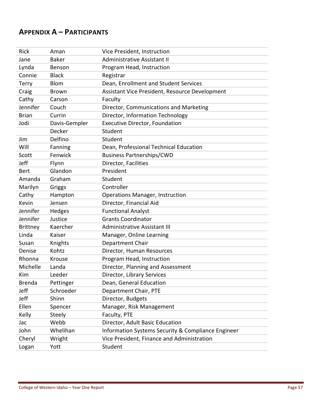# **APPENDIX A – PARTICIPANTS**

| Rick            | Aman          | Vice President, Instruction                        |
|-----------------|---------------|----------------------------------------------------|
| Jane            | <b>Baker</b>  | Administrative Assistant II                        |
| Lynda           | Benson        | Program Head, Instruction                          |
| Connie          | <b>Black</b>  | Registrar                                          |
| <b>Terry</b>    | <b>Blom</b>   | Dean, Enrollment and Student Services              |
| Craig           | <b>Brown</b>  | Assistant Vice President, Resource Development     |
| Cathy           | Carson        | Faculty                                            |
| Jennifer        | Couch         | Director, Communications and Marketing             |
| <b>Brian</b>    | Currin        | Director, Information Technology                   |
| Jodi            | Davis-Gempler | <b>Executive Director, Foundation</b>              |
|                 | Decker        | Student                                            |
| Jim             | Delfino       | Student                                            |
| Will            | Fanning       | Dean, Professional Technical Education             |
| Scott           | Fenwick       | <b>Business Partnerships/CWD</b>                   |
| Jeff            | Flynn         | Director, Facilities                               |
| <b>Bert</b>     | Glandon       | President                                          |
| Amanda          | Graham        | Student                                            |
| Marilyn         | Griggs        | Controller                                         |
| Cathy           | Hampton       | <b>Operations Manager, Instruction</b>             |
| Kevin           | Jensen        | Director, Financial Aid                            |
| Jennifer        | Hedges        | <b>Functional Analyst</b>                          |
| Jennifer        | Justice       | <b>Grants Coordinator</b>                          |
| <b>Brittney</b> | Kaercher      | Administrative Assistant III                       |
| Linda           | Kaiser        | Manager, Online Learning                           |
| Susan           | Knights       | Department Chair                                   |
| Denise          | Kohtz         | Director, Human Resources                          |
| Rhonna          | Krouse        | Program Head, Instruction                          |
| Michelle        | Landa         | Director, Planning and Assessment                  |
| Kim             | Leeder        | Director, Library Services                         |
| Brenda          | Pettinger     | Dean, General Education                            |
| Jeff            | Schroeder     | Department Chair, PTE                              |
| Jeff            | Shinn         | Director, Budgets                                  |
| Ellen           | Spencer       | Manager, Risk Management                           |
| Kelly           | <b>Steely</b> | Faculty, PTE                                       |
| Jac             | Webb          | Director, Adult Basic Education                    |
| John            | Whelihan      | Information Systems Security & Compliance Engineer |
| Cheryl          | Wright        | Vice President, Finance and Administration         |
| Logan           | Yott          | Student                                            |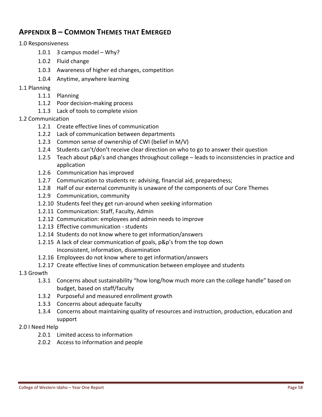# **APPENDIX B – COMMON THEMES THAT EMERGED**

#### 1.0 Responsiveness

- 1.0.1 3 campus model Why?
- 1.0.2 Fluid change
- 1.0.3 Awareness of higher ed changes, competition
- 1.0.4 Anytime, anywhere learning

#### 1.1 Planning

- 1.1.1 Planning
- 1.1.2 Poor decision-making process
- 1.1.3 Lack of tools to complete vision

#### 1.2 Communication

- 1.2.1 Create effective lines of communication
- 1.2.2 Lack of communication between departments
- 1.2.3 Common sense of ownership of CWI (belief in M/V)
- 1.2.4 Students can't/don't receive clear direction on who to go to answer their question
- 1.2.5 Teach about p&p's and changes throughout college leads to inconsistencies in practice and application
- 1.2.6 Communication has improved
- 1.2.7 Communication to students re: advising, financial aid, preparedness;
- 1.2.8 Half of our external community is unaware of the components of our Core Themes
- 1.2.9 Communication, community
- 1.2.10 Students feel they get run‐around when seeking information
- 1.2.11 Communication: Staff, Faculty, Admin
- 1.2.12 Communication: employees and admin needs to improve
- 1.2.13 Effective communication ‐ students
- 1.2.14 Students do not know where to get information/answers
- 1.2.15 A lack of clear communication of goals, p&p's from the top down
	- Inconsistent, information, dissemination
- 1.2.16 Employees do not know where to get information/answers
- 1.2.17 Create effective lines of communication between employee and students

#### 1.3 Growth

- 1.3.1 Concerns about sustainability "how long/how much more can the college handle" based on budget, based on staff/faculty
- 1.3.2 Purposeful and measured enrollment growth
- 1.3.3 Concerns about adequate faculty
- 1.3.4 Concerns about maintaining quality of resources and instruction, production, education and support

#### 2.0 I Need Help

- 2.0.1 Limited access to information
- 2.0.2 Access to information and people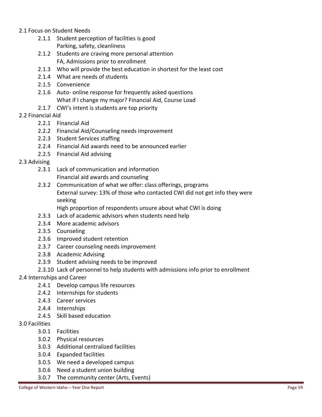- 2.1 Focus on Student Needs
	- 2.1.1 Student perception of facilities is good Parking, safety, cleanliness
	- 2.1.2 Students are craving more personal attention FA, Admissions prior to enrollment
	- 2.1.3 Who will provide the best education in shortest for the least cost
	- 2.1.4 What are needs of students
	- 2.1.5 Convenience
	- 2.1.6 Auto- online response for frequently asked questions What if I change my major? Financial Aid, Course Load
	- 2.1.7 CWI's intent is students are top priority

#### 2.2 Financial Aid

- 2.2.1 Financial Aid
- 2.2.2 Financial Aid/Counseling needs improvement
- 2.2.3 Student Services staffing
- 2.2.4 Financial Aid awards need to be announced earlier
- 2.2.5 Financial Aid advising

#### 2.3 Advising

- 2.3.1 Lack of communication and information
	- Financial aid awards and counseling
- 2.3.2 Communication of what we offer: class offerings, programs External survey: 13% of those who contacted CWI did not get info they were seeking
	- High proportion of respondents unsure about what CWI is doing
- 2.3.3 Lack of academic advisors when students need help
- 2.3.4 More academic advisors
- 2.3.5 Counseling
- 2.3.6 Improved student retention
- 2.3.7 Career counseling needs improvement
- 2.3.8 Academic Advising
- 2.3.9 Student advising needs to be improved
- 2.3.10 Lack of personnel to help students with admissions info prior to enrollment

#### 2.4 Internships and Career

- 2.4.1 Develop campus life resources
- 2.4.2 Internships for students
- 2.4.3 Career services
- 2.4.4 Internships
- 2.4.5 Skill based education
- 3.0 Facilities
	- 3.0.1 Facilities
	- 3.0.2 Physical resources
	- 3.0.3 Additional centralized facilities
	- 3.0.4 Expanded facilities
	- 3.0.5 We need a developed campus
	- 3.0.6 Need a student union building
	- 3.0.7 The community center (Arts, Events)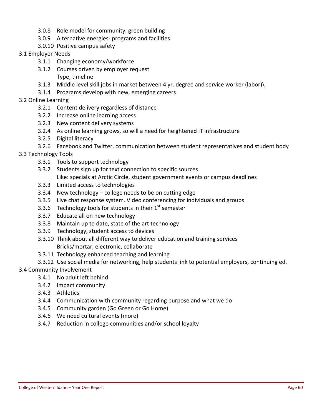- 3.0.8 Role model for community, green building
- 3.0.9 Alternative energies‐ programs and facilities
- 3.0.10 Positive campus safety
- 3.1 Employer Needs
	- 3.1.1 Changing economy/workforce
	- 3.1.2 Courses driven by employer request
		- Type, timeline
	- 3.1.3 Middle level skill jobs in market between 4 yr. degree and service worker (labor)\
	- 3.1.4 Programs develop with new, emerging careers
- 3.2 Online Learning
	- 3.2.1 Content delivery regardless of distance
	- 3.2.2 Increase online learning access
	- 3.2.3 New content delivery systems
	- 3.2.4 As online learning grows, so will a need for heightened IT infrastructure
	- 3.2.5 Digital literacy
	- 3.2.6 Facebook and Twitter, communication between student representatives and student body
- 3.3 Technology Tools
	- 3.3.1 Tools to support technology
	- 3.3.2 Students sign up for text connection to specific sources Like: specials at Arctic Circle, student government events or campus deadlines
	- 3.3.3 Limited access to technologies
	- 3.3.4 New technology college needs to be on cutting edge
	- 3.3.5 Live chat response system. Video conferencing for individuals and groups
	- 3.3.6 Technology tools for students in their  $1<sup>st</sup>$  semester
	- 3.3.7 Educate all on new technology
	- 3.3.8 Maintain up to date, state of the art technology
	- 3.3.9 Technology, student access to devices
	- 3.3.10 Think about all different way to deliver education and training services Bricks/mortar, electronic, collaborate
	- 3.3.11 Technology enhanced teaching and learning
	- 3.3.12 Use social media for networking, help students link to potential employers, continuing ed.

#### 3.4 Community Involvement

- 3.4.1 No adult left behind
- 3.4.2 Impact community
- 3.4.3 Athletics
- 3.4.4 Communication with community regarding purpose and what we do
- 3.4.5 Community garden (Go Green or Go Home)
- 3.4.6 We need cultural events (more)
- 3.4.7 Reduction in college communities and/or school loyalty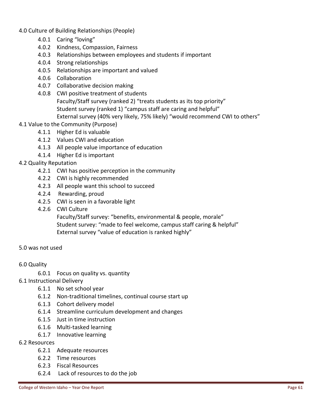- 4.0 Culture of Building Relationships (People)
	- 4.0.1 Caring "loving"
	- 4.0.2 Kindness, Compassion, Fairness
	- 4.0.3 Relationships between employees and students if important
	- 4.0.4 Strong relationships
	- 4.0.5 Relationships are important and valued
	- 4.0.6 Collaboration
	- 4.0.7 Collaborative decision making
	- 4.0.8 CWI positive treatment of students Faculty/Staff survey (ranked 2) "treats students as its top priority" Student survey (ranked 1) "campus staff are caring and helpful" External survey (40% very likely, 75% likely) "would recommend CWI to others"

#### 4.1 Value to the Community (Purpose)

- 4.1.1 Higher Ed is valuable
- 4.1.2 Values CWI and education
- 4.1.3 All people value importance of education
- 4.1.4 Higher Ed is important

#### 4.2 Quality Reputation

- 4.2.1 CWI has positive perception in the community
- 4.2.2 CWI is highly recommended
- 4.2.3 All people want this school to succeed
- 4.2.4 Rewarding, proud
- 4.2.5 CWI is seen in a favorable light
- 4.2.6 CWI Culture

Faculty/Staff survey: "benefits, environmental & people, morale" Student survey: "made to feel welcome, campus staff caring & helpful" External survey "value of education is ranked highly"

#### 5.0 was not used

#### 6.0 Quality

- 6.0.1 Focus on quality vs. quantity
- 6.1 Instructional Delivery
	- 6.1.1 No set school year
	- 6.1.2 Non‐traditional timelines, continual course start up
	- 6.1.3 Cohort delivery model
	- 6.1.4 Streamline curriculum development and changes
	- 6.1.5 Just in time instruction
	- 6.1.6 Multi‐tasked learning
	- 6.1.7 Innovative learning

#### 6.2 Resources

- 6.2.1 Adequate resources
- 6.2.2 Time resources
- 6.2.3 Fiscal Resources
- 6.2.4 Lack of resources to do the job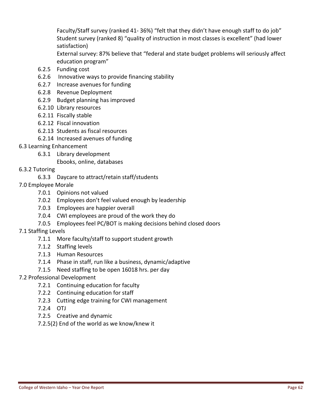Faculty/Staff survey (ranked 41‐ 36%) "felt that they didn't have enough staff to do job" Student survey (ranked 8) "quality of instruction in most classes is excellent" (had lower satisfaction)

External survey: 87% believe that "federal and state budget problems will seriously affect education program"

- 6.2.5 Funding cost
- 6.2.6 Innovative ways to provide financing stability
- 6.2.7 Increase avenues for funding
- 6.2.8 Revenue Deployment
- 6.2.9 Budget planning has improved
- 6.2.10 Library resources
- 6.2.11 Fiscally stable
- 6.2.12 Fiscal innovation
- 6.2.13 Students as fiscal resources
- 6.2.14 Increased avenues of funding
- 6.3 Learning Enhancement
	- 6.3.1 Library development
		- Ebooks, online, databases
- 6.3.2 Tutoring
	- 6.3.3 Daycare to attract/retain staff/students
- 7.0 Employee Morale
	- 7.0.1 Opinions not valued
	- 7.0.2 Employees don't feel valued enough by leadership
	- 7.0.3 Employees are happier overall
	- 7.0.4 CWI employees are proud of the work they do
	- 7.0.5 Employees feel PC/BOT is making decisions behind closed doors
- 7.1 Staffing Levels
	- 7.1.1 More faculty/staff to support student growth
	- 7.1.2 Staffing levels
	- 7.1.3 Human Resources
	- 7.1.4 Phase in staff, run like a business, dynamic/adaptive
	- 7.1.5 Need staffing to be open 16018 hrs. per day
- 7.2 Professional Development
	- 7.2.1 Continuing education for faculty
	- 7.2.2 Continuing education for staff
	- 7.2.3 Cutting edge training for CWI management
	- 7.2.4 OTJ
	- 7.2.5 Creative and dynamic
	- 7.2.5(2) End of the world as we know/knew it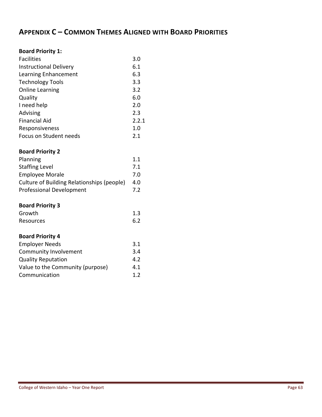# **APPENDIX C – COMMON THEMES ALIGNED WITH BOARD PRIORITIES**

### **Board Priority 1:**

| <b>Facilities</b>             | 3.0   |
|-------------------------------|-------|
| <b>Instructional Delivery</b> | 6.1   |
| Learning Enhancement          | 6.3   |
| <b>Technology Tools</b>       | 3.3   |
| <b>Online Learning</b>        | 3.2   |
| Quality                       | 6.0   |
| I need help                   | 2.0   |
| Advising                      | 2.3   |
| <b>Financial Aid</b>          | 2.2.1 |
| Responsiveness                | 1.0   |
| Focus on Student needs        | 2.1   |

#### **Board Priority 2**

| Planning                                   | 1.1 |
|--------------------------------------------|-----|
| <b>Staffing Level</b>                      | 7.1 |
| <b>Employee Morale</b>                     | 7.0 |
| Culture of Building Relationships (people) | 4.0 |
| <b>Professional Development</b>            | 7.2 |

#### **Board Priority 3**

| Growth    | 1.3 |
|-----------|-----|
| Resources | 6.2 |
|           |     |

## **Board Priority 4**

| <b>Employer Needs</b>            | 3.1 |
|----------------------------------|-----|
| Community Involvement            | 3.4 |
| <b>Quality Reputation</b>        | 4.2 |
| Value to the Community (purpose) | 4.1 |
| Communication                    | 12  |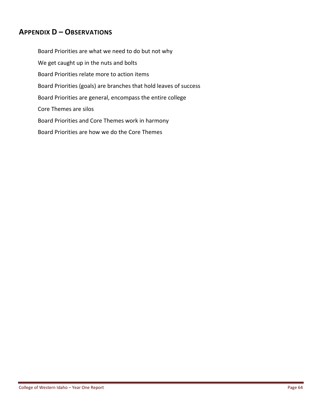# **APPENDIX D – OBSERVATIONS**

Board Priorities are what we need to do but not why We get caught up in the nuts and bolts Board Priorities relate more to action items Board Priorities (goals) are branches that hold leaves of success Board Priorities are general, encompass the entire college Core Themes are silos Board Priorities and Core Themes work in harmony Board Priorities are how we do the Core Themes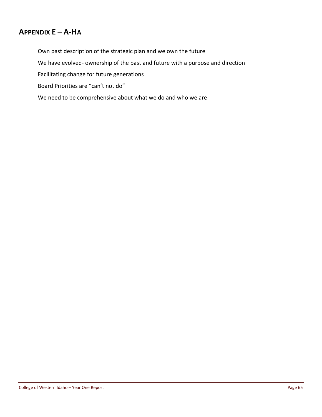# **APPENDIX E – A‐HA**

Own past description of the strategic plan and we own the future We have evolved- ownership of the past and future with a purpose and direction Facilitating change for future generations Board Priorities are "can't not do" We need to be comprehensive about what we do and who we are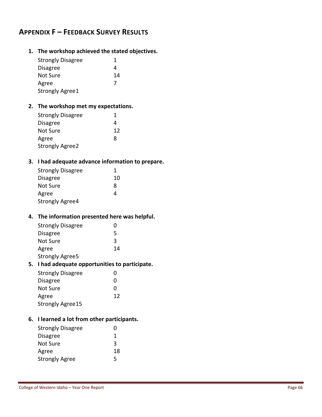# **APPENDIX F – FEEDBACK SURVEY RESULTS**

**1. The workshop achieved the stated objectives.** 

| <b>Strongly Disagree</b>                          | 1  |  |
|---------------------------------------------------|----|--|
| <b>Disagree</b>                                   | 4  |  |
| Not Sure                                          | 14 |  |
| Agree                                             | 7  |  |
| <b>Strongly Agree1</b>                            |    |  |
| 2. The workshop met my expectations.              |    |  |
| <b>Strongly Disagree</b>                          | 1  |  |
| <b>Disagree</b>                                   | 4  |  |
| Not Sure                                          | 12 |  |
| Agree                                             | 8  |  |
| <b>Strongly Agree2</b>                            |    |  |
| 3. I had adequate advance information to prepare. |    |  |
| <b>Strongly Disagree</b>                          | 1  |  |
| <b>Disagree</b>                                   | 10 |  |
| Not Sure                                          | 8  |  |
| Agree                                             | 4  |  |
| <b>Strongly Agree4</b>                            |    |  |
|                                                   |    |  |
| 4. The information presented here was helpful.    |    |  |
| <b>Strongly Disagree</b>                          | 0  |  |
| <b>Disagree</b>                                   | 5  |  |
| Not Sure                                          | 3  |  |
| Agree                                             | 14 |  |
| <b>Strongly Agree5</b>                            |    |  |
| 5. I had adequate opportunities to participate.   |    |  |
| <b>Strongly Disagree</b>                          | 0  |  |
| <b>Disagree</b>                                   | 0  |  |
| Not Sure                                          | 0  |  |
| Agree                                             | 12 |  |
| <b>Strongly Agree15</b>                           |    |  |
| 6. I learned a lot from other participants.       |    |  |
| <b>Strongly Disagree</b>                          | 0  |  |
| <b>Disagree</b>                                   | 1  |  |
| Not Sure                                          | 3  |  |
| Agree                                             | 18 |  |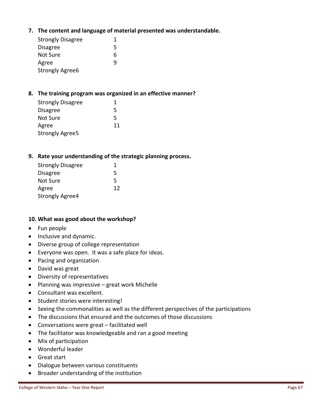**7. The content and language of material presented was understandable.** 

| <b>Strongly Disagree</b> | 1 |
|--------------------------|---|
| <b>Disagree</b>          | 5 |
| Not Sure                 | 6 |
| Agree                    | q |
| <b>Strongly Agree6</b>   |   |

#### **8. The training program was organized in an effective manner?**

| <b>Strongly Disagree</b> | 1  |
|--------------------------|----|
| <b>Disagree</b>          | 5  |
| Not Sure                 | 5  |
| Agree                    | 11 |
| <b>Strongly Agree5</b>   |    |

#### **9. Rate your understanding of the strategic planning process.**

| <b>Strongly Disagree</b> | 1  |
|--------------------------|----|
| <b>Disagree</b>          | 5  |
| Not Sure                 | 5  |
| Agree                    | 12 |
| <b>Strongly Agree4</b>   |    |

#### **10. What was good about the workshop?**

- Fun people
- Inclusive and dynamic.
- Diverse group of college representation
- Everyone was open. It was a safe place for ideas.
- Pacing and organization
- David was great
- Diversity of representatives
- Planning was impressive great work Michelle
- Consultant was excellent.
- Student stories were interesting!
- Seeing the commonalities as well as the different perspectives of the participations
- The discussions that ensured and the outcomes of those discussions
- Conversations were great facilitated well
- The facilitator was knowledgeable and ran a good meeting
- Mix of participation
- Wonderful leader
- Great start
- Dialogue between various constituents
- Broader understanding of the institution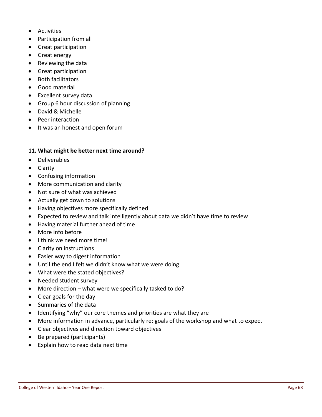- Activities
- Participation from all
- **•** Great participation
- Great energy
- Reviewing the data
- Great participation
- Both facilitators
- Good material
- Excellent survey data
- Group 6 hour discussion of planning
- David & Michelle
- Peer interaction
- It was an honest and open forum

#### **11. What might be better next time around?**

- Deliverables
- **•** Clarity
- Confusing information
- More communication and clarity
- Not sure of what was achieved
- Actually get down to solutions
- Having objectives more specifically defined
- Expected to review and talk intelligently about data we didn't have time to review
- Having material further ahead of time
- More info before
- I think we need more time!
- Clarity on instructions
- Easier way to digest information
- Until the end I felt we didn't know what we were doing
- What were the stated objectives?
- Needed student survey
- More direction what were we specifically tasked to do?
- Clear goals for the day
- Summaries of the data
- Identifying "why" our core themes and priorities are what they are
- More information in advance, particularly re: goals of the workshop and what to expect
- Clear objectives and direction toward objectives
- Be prepared (participants)
- Explain how to read data next time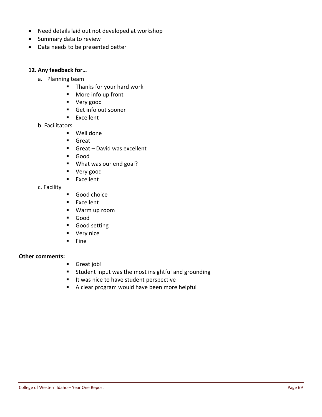- Need details laid out not developed at workshop
- Summary data to review
- Data needs to be presented better

#### **12. Any feedback for…**

- a. Planning team
	- **Thanks for your hard work**
	- More info up front
	- **very** good
	- Get info out sooner
	- **Excellent**
- b. Facilitators
	- Well done
	- Great
	- Great David was excellent
	- Good
	- What was our end goal?
	- **v** Very good
	- **Excellent**

c. Facility

- Good choice
- **Excellent**
- Warm up room
- Good
- Good setting
- **very nice**
- $Fine$

#### **Other comments:**

- **Great job!**
- **Student input was the most insightful and grounding**
- I It was nice to have student perspective
- A clear program would have been more helpful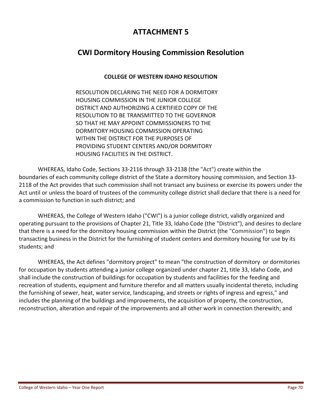# **ATTACHMENT 5**

# **CWI Dormitory Housing Commission Resolution**

## **COLLEGE OF WESTERN IDAHO RESOLUTION**

RESOLUTION DECLARING THE NEED FOR A DORMITORY HOUSING COMMISSION IN THE JUNIOR COLLEGE DISTRICT AND AUTHORIZING A CERTIFIED COPY OF THE RESOLUTION TO BE TRANSMITTED TO THE GOVERNOR SO THAT HE MAY APPOINT COMMISSIONERS TO THE DORMITORY HOUSING COMMISSION OPERATING WITHIN THE DISTRICT FOR THE PURPOSES OF PROVIDING STUDENT CENTERS AND/OR DORMITORY HOUSING FACILITIES IN THE DISTRICT.

WHEREAS, Idaho Code, Sections 33‐2116 through 33‐2138 (the "Act") create within the boundaries of each community college district of the State a dormitory housing commission, and Section 33‐ 2118 of the Act provides that such commission shall not transact any business or exercise its powers under the Act until or unless the board of trustees of the community college district shall declare that there is a need for a commission to function in such district; and

WHEREAS, the College of Western Idaho ("CWI") is a junior college district, validly organized and operating pursuant to the provisions of Chapter 21, Title 33, Idaho Code (the "District"), and desires to declare that there is a need for the dormitory housing commission within the District (the "Commission") to begin transacting business in the District for the furnishing of student centers and dormitory housing for use by its students; and

WHEREAS, the Act defines "dormitory project" to mean "the construction of dormitory or dormitories for occupation by students attending a junior college organized under chapter 21, title 33, Idaho Code, and shall include the construction of buildings for occupation by students and facilities for the feeding and recreation of students, equipment and furniture therefor and all matters usually incidental thereto, including the furnishing of sewer, heat, water service, landscaping, and streets or rights of ingress and egress," and includes the planning of the buildings and improvements, the acquisition of property, the construction, reconstruction, alteration and repair of the improvements and all other work in connection therewith; and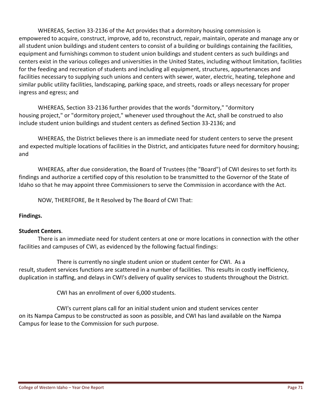WHEREAS, Section 33‐2136 of the Act provides that a dormitory housing commission is empowered to acquire, construct, improve, add to, reconstruct, repair, maintain, operate and manage any or all student union buildings and student centers to consist of a building or buildings containing the facilities, equipment and furnishings common to student union buildings and student centers as such buildings and centers exist in the various colleges and universities in the United States, including without limitation, facilities for the feeding and recreation of students and including all equipment, structures, appurtenances and facilities necessary to supplying such unions and centers with sewer, water, electric, heating, telephone and similar public utility facilities, landscaping, parking space, and streets, roads or alleys necessary for proper ingress and egress; and

WHEREAS, Section 33‐2136 further provides that the words "dormitory," "dormitory housing project," or "dormitory project," whenever used throughout the Act, shall be construed to also include student union buildings and student centers as defined Section 33‐2136; and

WHEREAS, the District believes there is an immediate need for student centers to serve the present and expected multiple locations of facilities in the District, and anticipates future need for dormitory housing; and

WHEREAS, after due consideration, the Board of Trustees (the "Board") of CWI desires to set forth its findings and authorize a certified copy of this resolution to be transmitted to the Governor of the State of Idaho so that he may appoint three Commissioners to serve the Commission in accordance with the Act.

NOW, THEREFORE, Be It Resolved by The Board of CWI That:

## **Findings.**

#### **Student Centers**.

There is an immediate need for student centers at one or more locations in connection with the other facilities and campuses of CWI, as evidenced by the following factual findings:

There is currently no single student union or student center for CWI. As a result, student services functions are scattered in a number of facilities. This results in costly inefficiency, duplication in staffing, and delays in CWI's delivery of quality services to students throughout the District.

CWI has an enrollment of over 6,000 students.

CWI's current plans call for an initial student union and student services center on its Nampa Campus to be constructed as soon as possible, and CWI has land available on the Nampa Campus for lease to the Commission for such purpose.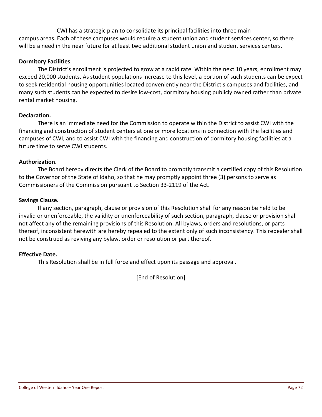CWI has a strategic plan to consolidate its principal facilities into three main campus areas. Each of these campuses would require a student union and student services center, so there will be a need in the near future for at least two additional student union and student services centers.

### **Dormitory Facilities**.

The District's enrollment is projected to grow at a rapid rate. Within the next 10 years, enrollment may exceed 20,000 students. As student populations increase to this level, a portion of such students can be expect to seek residential housing opportunities located conveniently near the District's campuses and facilities, and many such students can be expected to desire low‐cost, dormitory housing publicly owned rather than private rental market housing.

### **Declaration.**

There is an immediate need for the Commission to operate within the District to assist CWI with the financing and construction of student centers at one or more locations in connection with the facilities and campuses of CWI, and to assist CWI with the financing and construction of dormitory housing facilities at a future time to serve CWI students.

#### **Authorization.**

The Board hereby directs the Clerk of the Board to promptly transmit a certified copy of this Resolution to the Governor of the State of Idaho, so that he may promptly appoint three (3) persons to serve as Commissioners of the Commission pursuant to Section 33‐2119 of the Act.

### **Savings Clause.**

If any section, paragraph, clause or provision of this Resolution shall for any reason be held to be invalid or unenforceable, the validity or unenforceability of such section, paragraph, clause or provision shall not affect any of the remaining provisions of this Resolution. All bylaws, orders and resolutions, or parts thereof, inconsistent herewith are hereby repealed to the extent only of such inconsistency. This repealer shall not be construed as reviving any bylaw, order or resolution or part thereof.

#### **Effective Date.**

This Resolution shall be in full force and effect upon its passage and approval.

[End of Resolution]